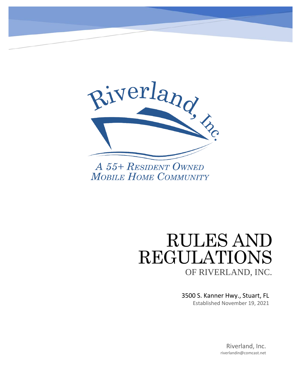

# RULES AND REGULATIONS OF RIVERLAND, INC.

3500 S. Kanner Hwy., Stuart, FL Established November 19, 2021

> Riverland, Inc. riverlandin@comcast.net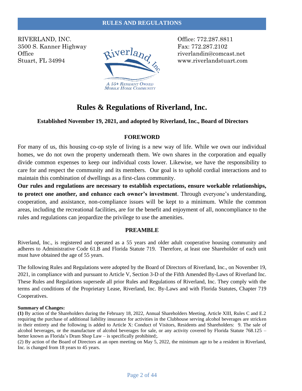#### **RULES AND REGULATIONS**

RIVERLAND, INC. CONTROLLAND, INC. 3500 S. Kanner Highway<br>
Office  $\frac{q_i \text{Ver}l_{d}}{q}$ Office  $QVCH12R$ , riverlandin@comcast.net



Stuart, FL 34994 **WEB** WWW.riverlandstuart.com

## **Rules & Regulations of Riverland, Inc.**

#### **Established November 19, 2021, and adopted by Riverland, Inc., Board of Directors**

#### **FOREWORD**

For many of us, this housing co-op style of living is a new way of life. While we own our individual homes, we do not own the property underneath them. We own shares in the corporation and equally divide common expenses to keep our individual costs lower. Likewise, we have the responsibility to care for and respect the community and its members. Our goal is to uphold cordial interactions and to maintain this combination of dwellings as a first-class community.

**Our rules and regulations are necessary to establish expectations, ensure workable relationships, to protect one another, and enhance each owner's investment**. Through everyone's understanding, cooperation, and assistance, non-compliance issues will be kept to a minimum. While the common areas, including the recreational facilities, are for the benefit and enjoyment of all, noncompliance to the rules and regulations can jeopardize the privilege to use the amenities.

#### **PREAMBLE**

Riverland, Inc., is registered and operated as a 55 years and older adult cooperative housing community and adheres to Administrative Code 61.B and Florida Statute 719. Therefore, at least one Shareholder of each unit must have obtained the age of 55 years.

The following Rules and Regulations were adopted by the Board of Directors of Riverland, Inc., on November 19, 2021, in compliance with and pursuant to Article V, Section 3-D of the Fifth Amended By-Laws of Riverland Inc. These Rules and Regulations supersede all prior Rules and Regulations of Riverland, Inc. They comply with the terms and conditions of the Proprietary Lease, Riverland, Inc. By-Laws and with Florida Statutes, Chapter 719 Cooperatives.

#### **Summary of Changes:**

**(1)** By action of the Shareholders during the February 18, 2022, Annual Shareholders Meeting, Article XIII, Rules C and E.2 requiring the purchase of additional liability insurance for activities in the Clubhouse serving alcohol beverages are stricken in their entirety and the following is added to Article X: Conduct of Visitors, Residents and Shareholders: 9. The sale of alcohol beverages, or the manufacture of alcohol beverages for sale, or any activity covered by Florida Statute 768.125 – better known as Florida's Dram Shop Law – is specifically prohibited;.

(2) By action of the Board of Directors at an open meeting on May 5, 2022, the minimum age to be a resident in Riverland, Inc. is changed from 18 years to 45 years.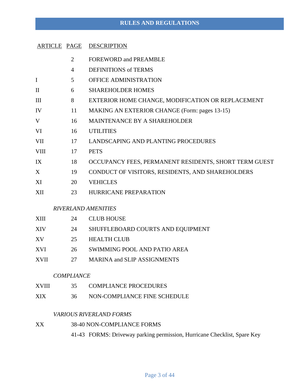#### **RULES AND REGULATIONS**

- 2 FOREWORD and PREAMBLE
- 4 DEFINITIONS of TERMS
- I 5 OFFICE ADMINISTRATION
- II 6 SHAREHOLDER HOMES
- III 8 EXTERIOR HOME CHANGE, MODIFICATION OR REPLACEMENT
- IV 11 MAKING AN EXTERIOR CHANGE (Form: pages 13-15)
- V 16 MAINTENANCE BY A SHAREHOLDER
- VI 16 UTILITIES
- VII 17 LANDSCAPING AND PLANTING PROCEDURES
- VIII 17 PETS
- IX 18 OCCUPANCY FEES, PERMANENT RESIDENTS, SHORT TERM GUEST
- X 19 CONDUCT OF VISITORS, RESIDENTS, AND SHAREHOLDERS
- XI 20 VEHICLES
- XII 23 HURRICANE PREPARATION

#### *RIVERLAND AMENITIES*

| XШ   | 24  | <b>CLUB HOUSE</b>                  |
|------|-----|------------------------------------|
| XIV  | 24  | SHUFFLEBOARD COURTS AND EQUIPMENT  |
| XV   | 25. | <b>HEALTH CLUB</b>                 |
| XVI  | 26  | SWIMMING POOL AND PATIO AREA       |
| XVII | 27  | <b>MARINA and SLIP ASSIGNMENTS</b> |

#### *COMPLIANCE*

- XVIII 35 COMPLIANCE PROCEDURES
- XIX 36 NON-COMPLIANCE FINE SCHEDULE

#### *VARIOUS RIVERLAND FORMS*

XX 38-40 NON-COMPLIANCE FORMS

41-43 FORMS: Driveway parking permission, Hurricane Checklist, Spare Key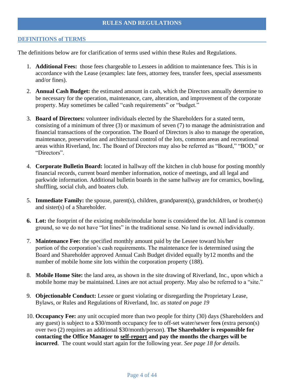#### **DEFINITIONS of TERMS**

The definitions below are for clarification of terms used within these Rules and Regulations.

- 1. **Additional Fees:** those fees chargeable to Lessees in addition to maintenance fees. This is in accordance with the Lease (examples: late fees, attorney fees, transfer fees, special assessments and/or fines).
- 2. **Annual Cash Budget:** the estimated amount in cash, which the Directors annually determine to be necessary for the operation, maintenance, care, alteration, and improvement of the corporate property. May sometimes be called "cash requirements" or "budget."
- 3. **Board of Directors:** volunteer individuals elected by the Shareholders for a stated term, consisting of a minimum of three (3) or maximum of seven (7) to manage the administration and financial transactions of the corporation. The Board of Directors is also to manage the operation, maintenance, preservation and architectural control of the lots, common areas and recreational areas within Riverland, Inc. The Board of Directors may also be referred as "Board," "BOD," or "Directors".
- 4. **Corporate Bulletin Board:** located in hallway off the kitchen in club house for posting monthly financial records, current board member information, notice of meetings, and all legal and parkwide information. Additional bulletin boards in the same hallway are for ceramics, bowling, shuffling, social club, and boaters club.
- 5. **Immediate Family:** the spouse, parent(s), children, grandparent(s), grandchildren, or brother(s) and sister(s) of a Shareholder.
- **6. Lot:** the footprint of the existing mobile/modular home is considered the lot. All land is common ground, so we do not have "lot lines" in the traditional sense. No land is owned individually.
- 7. **Maintenance Fee:** the specified monthly amount paid by the Lessee toward his/her portion of the corporation's cash requirements. The maintenance fee is determined using the Board and Shareholder approved Annual Cash Budget divided equally by12 months and the number of mobile home site lots within the corporation property (188).
- 8. **Mobile Home Site:** the land area, as shown in the site drawing of Riverland, Inc., upon which a mobile home may be maintained. Lines are not actual property. May also be referred to a "site."
- 9. **Objectionable Conduct:** Lessee or guest violating or disregarding the Proprietary Lease, Bylaws, or Rules and Regulations of Riverland, Inc. *as stated on page 19*
- 10. **Occupancy Fee:** any unit occupied more than two people for thirty (30) days (Shareholders and any guest) is subject to a \$30/month occupancy fee to off-set water/sewer fee**s** (extra person(s) over two (2) requires an additional \$30/month/person). **The Shareholder is responsible for contacting the Office Manager to self-report and pay the months the charges will be incurred**. The count would start again for the following year*. See page 18 for details.*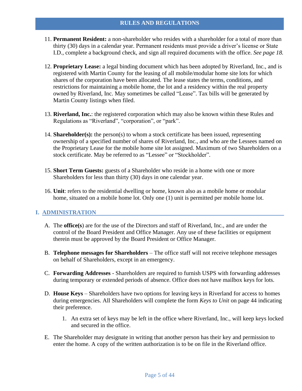- 11. **Permanent Resident:** a non-shareholder who resides with a shareholder for a total of more than thirty (30) days in a calendar year. Permanent residents must provide a driver's license or State I.D., complete a background check, and sign all required documents with the office. *See page 18.*
- 12. **Proprietary Lease:** a legal binding document which has been adopted by Riverland, Inc., and is registered with Martin County for the leasing of all mobile/modular home site lots for which shares of the corporation have been allocated. The lease states the terms, conditions, and restrictions for maintaining a mobile home, the lot and a residency within the real property owned by Riverland, Inc. May sometimes be called "Lease". Tax bills will be generated by Martin County listings when filed.
- 13. **Riverland, Inc.**: the registered corporation which may also be known within these Rules and Regulations as "Riverland", "corporation", or "park".
- 14. **Shareholder(s):** the person(s) to whom a stock certificate has been issued, representing ownership of a specified number of shares of Riverland, Inc., and who are the Lessees named on the Proprietary Lease for the mobile home site lot assigned. Maximum of two Shareholders on a stock certificate. May be referred to as "Lessee" or "Stockholder".
- 15. **Short Term Guests:** guests of a Shareholder who reside in a home with one or more Shareholders for less than thirty (30) days in one calendar year.
- 16. **Unit**: refers to the residential dwelling or home, known also as a mobile home or modular home, situated on a mobile home lot. Only one (1) unit is permitted per mobile home lot.

#### **I. ADMINISTRATION**

- A. The **office(s**) are for the use of the Directors and staff of Riverland, Inc., and are under the control of the Board President and Office Manager. Any use of these facilities or equipment therein must be approved by the Board President or Office Manager.
- B. **Telephone messages for Shareholders** The office staff will not receive telephone messages on behalf of Shareholders, except in an emergency.
- C. **Forwarding Addresses** Shareholders are required to furnish USPS with forwarding addresses during temporary or extended periods of absence. Office does not have mailbox keys for lots.
- D. **House Keys** Shareholders have two options for leaving keys in Riverland for access to homes during emergencies. All Shareholders will complete the form *Keys to Unit* on page 44 indicating their preference.
	- 1. An extra set of keys may be left in the office where Riverland, Inc., will keep keys locked and secured in the office.
- E. The Shareholder may designate in writing that another person has their key and permission to enter the home. A copy of the written authorization is to be on file in the Riverland office.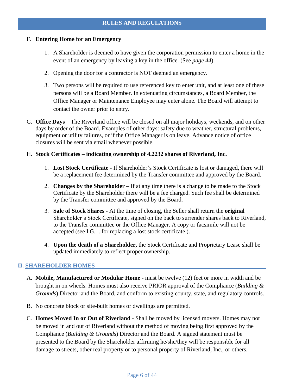#### F. **Entering Home for an Emergency**

- 1. A Shareholder is deemed to have given the corporation permission to enter a home in the event of an emergency by leaving a key in the office. (See *page 44*)
- 2. Opening the door for a contractor is NOT deemed an emergency.
- 3. Two persons will be required to use referenced key to enter unit, and at least one of these persons will be a Board Member. In extenuating circumstances, a Board Member, the Office Manager or Maintenance Employee may enter alone. The Board will attempt to contact the owner prior to entry.
- G. **Office Days** The Riverland office will be closed on all major holidays, weekends, and on other days by order of the Board. Examples of other days: safety due to weather, structural problems, equipment or utility failures, or if the Office Manager is on leave. Advance notice of office closures will be sent via email whenever possible.

#### H. **Stock Certificates – indicating ownership of 4.2232 shares of Riverland, Inc.**

- 1. **Lost Stock Certificate** If Shareholder's Stock Certificate is lost or damaged, there will be a replacement fee determined by the Transfer committee and approved by the Board.
- 2. **Changes by the Shareholder** If at any time there is a change to be made to the Stock Certificate by the Shareholder there will be a fee charged. Such fee shall be determined by the Transfer committee and approved by the Board.
- 3. **Sale of Stock Shares** At the time of closing, the Seller shall return the **original** Shareholder's Stock Certificate, signed on the back to surrender shares back to Riverland, to the Transfer committee or the Office Manager. A copy or facsimile will not be accepted (see I.G.1. for replacing a lost stock certificate.).
- 4. **Upon the death of a Shareholder,** the Stock Certificate and Proprietary Lease shall be updated immediately to reflect proper ownership.

#### **II. SHAREHOLDER HOMES**

- A. **Mobile, Manufactured or Modular Home** must be twelve (12) feet or more in width and be brought in on wheels. Homes must also receive PRIOR approval of the Compliance (*Building & Grounds*) Director and the Board, and conform to existing county, state, and regulatory controls.
- B. No concrete block or site-built homes or dwellings are permitted.
- C. **Homes Moved In or Out of Riverland** Shall be moved by licensed movers. Homes may not be moved in and out of Riverland without the method of moving being first approved by the Compliance (*Building & Grounds*) Director and the Board. A signed statement must be presented to the Board by the Shareholder affirming he/she/they will be responsible for all damage to streets, other real property or to personal property of Riverland, Inc., or others.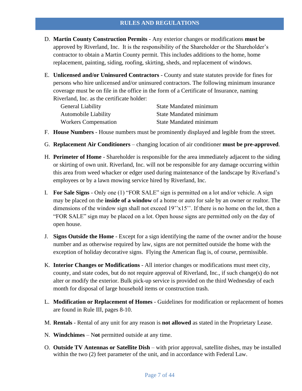- D. **Martin County Construction Permits** Any exterior changes or modifications **must be** approved by Riverland, Inc. It is the responsibility of the Shareholder or the Shareholder's contractor to obtain a Martin County permit. This includes additions to the home, home replacement, painting, siding, roofing, skirting, sheds, and replacement of windows.
- E. **Unlicensed and/or Uninsured Contractors** County and state statutes provide for fines for persons who hire unlicensed and/or uninsured contractors. The following minimum insurance coverage must be on file in the office in the form of a Certificate of Insurance, naming Riverland, Inc. as the certificate holder:

| General Liability           | <b>State Mandated minimum</b> |
|-----------------------------|-------------------------------|
| <b>Automobile Liability</b> | <b>State Mandated minimum</b> |
| <b>Workers Compensation</b> | <b>State Mandated minimum</b> |

- F. **House Numbers** House numbers must be prominently displayed and legible from the street.
- G. **Replacement Air Conditioners** changing location of air conditioner **must be pre-approved**.
- H. **Perimeter of Home** Shareholder is responsible for the area immediately adjacent to the siding or skirting of own unit. Riverland, Inc. will not be responsible for any damage occurring within this area from weed whacker or edger used during maintenance of the landscape by Riverland's employees or by a lawn mowing service hired by Riverland, Inc.
- I. **For Sale Signs** Only one (1) "FOR SALE" sign is permitted on a lot and/or vehicle. A sign may be placed on the **inside of a window** of a home or auto for sale by an owner or realtor. The dimensions of the window sign shall not exceed  $19''x15''$ . If there is no home on the lot, then a "FOR SALE" sign may be placed on a lot. Open house signs are permitted only on the day of open house.
- J. **Signs Outside the Home** Except for a sign identifying the name of the owner and/or the house number and as otherwise required by law, signs are not permitted outside the home with the exception of holiday decorative signs. Flying the American flag is, of course, permissible.
- K. **Interior Changes or Modifications** All interior changes or modifications must meet city, county, and state codes, but do not require approval of Riverland, Inc., if such change(s) do not alter or modify the exterior. Bulk pick-up service is provided on the third Wednesday of each month for disposal of large household items or construction trash.
- L. **Modification or Replacement of Homes** Guidelines for modification or replacement of homes are found in Rule III, pages 8-10.
- M. **Rentals** Rental of any unit for any reason is **not allowed** as stated in the Proprietary Lease.
- N. **Windchimes**  N**ot** permitted outside at any time.
- O. **Outside TV Antennas or Satellite Dish** with prior approval, satellite dishes, may be installed within the two (2) feet parameter of the unit, and in accordance with Federal Law.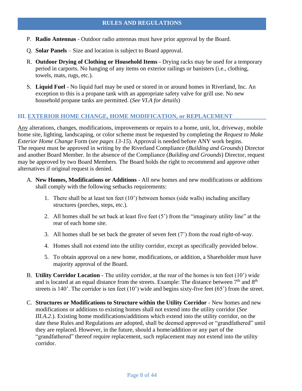- P. **Radio Antennas** Outdoor radio antennas must have prior approval by the Board.
- Q. **Solar Panels** Size and location is subject to Board approval.
- R. **Outdoor Drying of Clothing or Household Items** Drying racks may be used for a temporary period in carports. No hanging of any items on exterior railings or banisters (i.e., clothing, towels, mats, rugs, etc.).
- S. **Liquid Fuel** No liquid fuel may be used or stored in or around homes in Riverland, Inc. An exception to this is a propane tank with an appropriate safety valve for grill use. No new household propane tanks are permitted. (*See VI.A for details*)

#### **III. EXTERIOR HOME CHANGE, HOME MODIFICATION, or REPLACEMENT**

Any alterations, changes, modifications, improvements or repairs to a home, unit, lot, driveway, mobile home site, lighting, landscaping, or color scheme must be requested by completing the *Request to Make Exterior Home Change* Form (*see pages 13-15*). Approval is needed before ANY work begins. The request must be approved in writing by the Riverland Compliance (*Building and Grounds*) Director and another Board Member. In the absence of the Compliance (*Building and Grounds*) Director, request may be approved by two Board Members. The Board holds the right to recommend and approve other alternatives if original request is denied.

- A. **New Homes, Modifications or Additions** All new homes and new modifications or additions shall comply with the following setbacks requirements:
	- 1. There shall be at least ten feet (10') between homes (side walls) including ancillary structures (porches, steps, etc.).
	- 2. All homes shall be set back at least five feet (5') from the "imaginary utility line" at the rear of each home site.
	- 3. All homes shall be set back the greater of seven feet (7') from the road right-of-way.
	- 4. Homes shall not extend into the utility corridor, except as specifically provided below.
	- 5. To obtain approval on a new home, modifications, or addition, a Shareholder must have majority approval of the Board.
- B. **Utility Corridor Location** The utility corridor, at the rear of the homes is ten feet (10') wide and is located at an equal distance from the streets. Example: The distance between  $7<sup>th</sup>$  and  $8<sup>th</sup>$ streets is 140'. The corridor is ten feet (10') wide and begins sixty-five feet (65') from the street.
- C. **Structures or Modifications to Structure within the Utility Corridor** New homes and new modifications or additions to existing homes shall not extend into the utility corridor (*See III.A.2.*). Existing home modifications/additions which extend into the utility corridor, on the date these Rules and Regulations are adopted, shall be deemed approved or "grandfathered" until they are replaced. However, in the future, should a home/addition or any part of the "grandfathered" thereof require replacement, such replacement may not extend into the utility corridor.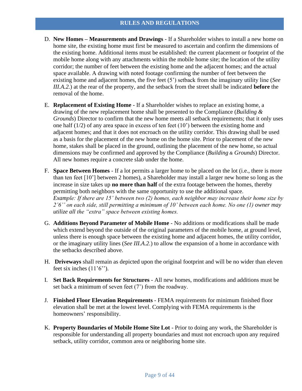- D. **New Homes – Measurements and Drawings** If a Shareholder wishes to install a new home on home site, the existing home must first be measured to ascertain and confirm the dimensions of the existing home. Additional items must be established: the current placement or footprint of the mobile home along with any attachments within the mobile home site; the location of the utility corridor; the number of feet between the existing home and the adjacent homes; and the actual space available. A drawing with noted footage confirming the number of feet between the existing home and adjacent homes, the five feet (5') setback from the imaginary utility line (*See III.A.2.*) at the rear of the property, and the setback from the street shall be indicated **before** the removal of the home.
- E. **Replacement of Existing Home** If a Shareholder wishes to replace an existing home, a drawing of the new replacement home shall be presented to the Compliance (*Building & Grounds*) Director to confirm that the new home meets all setback requirements; that it only uses one half  $(1/2)$  of any area space in excess of ten feet  $(10)$  between the existing home and adjacent homes; and that it does not encroach on the utility corridor. This drawing shall be used as a basis for the placement of the new home on the home site. Prior to placement of the new home, stakes shall be placed in the ground, outlining the placement of the new home, so actual dimensions may be confirmed and approved by the Compliance (*Building & Grounds*) Director. All new homes require a concrete slab under the home.
- F. **Space Between Homes** If a lot permits a larger home to be placed on the lot (i.e., there is more than ten feet [10'] between 2 homes), a Shareholder may install a larger new home so long as the increase in size takes up **no more than half** of the extra footage between the homes, thereby permitting both neighbors with the same opportunity to use the additional space. *Example: If there are 15' between two (2) homes, each neighbor may increase their home size by 2'6'' on each side, still permitting a minimum of 10' between each home. No one (1) owner may utilize all the "extra" space between existing homes.*
- G. **Additions Beyond Parameter of Mobile Home** No additions or modifications shall be made which extend beyond the outside of the original parameters of the mobile home, at ground level, unless there is enough space between the existing home and adjacent homes, the utility corridor, or the imaginary utility lines (*See III.A.2.*) to allow the expansion of a home in accordance with the setbacks described above.
- H. **Driveways** shall remain as depicted upon the original footprint and will be no wider than eleven feet six inches  $(11'6'')$ .
- I. **Set Back Requirements for Structures** All new homes, modifications and additions must be set back a minimum of seven feet (7') from the roadway.
- J. **Finished Floor Elevation Requirements** FEMA requirements for minimum finished floor elevation shall be met at the lowest level. Complying with FEMA requirements is the homeowners' responsibility.
- K. **Property Boundaries of Mobile Home Site Lot** Prior to doing any work, the Shareholder is responsible for understanding all property boundaries and must not encroach upon any required setback, utility corridor, common area or neighboring home site.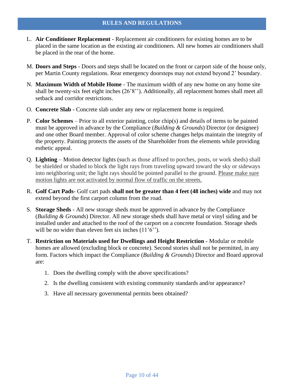- L. **Air Conditioner Replacement** Replacement air conditioners for existing homes are to be placed in the same location as the existing air conditioners. All new homes air conditioners shall be placed in the rear of the home.
- M. **Doors and Steps** Doors and steps shall be located on the front or carport side of the house only, per Martin County regulations. Rear emergency doorsteps may not extend beyond 2' boundary.
- N. **Maximum Width of Mobile Home** The maximum width of any new home on any home site shall be twenty-six feet eight inches (26'8''). Additionally, all replacement homes shall meet all setback and corridor restrictions.
- O. **Concrete Slab** Concrete slab under any new or replacement home is required.
- P. **Color Schemes** Prior to all exterior painting, color chip(s) and details of items to be painted must be approved in advance by the Compliance (*Building & Grounds*) Director (or designee) and one other Board member. Approval of color scheme changes helps maintain the integrity of the property. Painting protects the assets of the Shareholder from the elements while providing esthetic appeal.
- Q. **Lighting** Motion detector lights (such as those affixed to porches, posts, or work sheds) shall be shielded or shaded to block the light rays from traveling upward toward the sky or sideways into neighboring unit; the light rays should be pointed parallel to the ground. Please make sure motion lights are not activated by normal flow of traffic on the streets.
- R. **Golf Cart Pads** Golf cart pads **shall not be greater than 4 feet (48 inches) wide** and may not extend beyond the first carport column from the road.
- S. **Storage Sheds** All new storage sheds must be approved in advance by the Compliance (*Building & Grounds*) Director. All new storage sheds shall have metal or vinyl siding and be installed under and attached to the roof of the carport on a concrete foundation. Storage sheds will be no wider than eleven feet six inches  $(11'6'')$ .
- T. **Restriction on Materials used for Dwellings and Height Restriction** Modular or mobile homes are allowed (excluding block or concrete). Second stories shall not be permitted, in any form. Factors which impact the Compliance (*Building & Grounds*) Director and Board approval are:
	- 1. Does the dwelling comply with the above specifications?
	- 2. Is the dwelling consistent with existing community standards and/or appearance?
	- 3. Have all necessary governmental permits been obtained?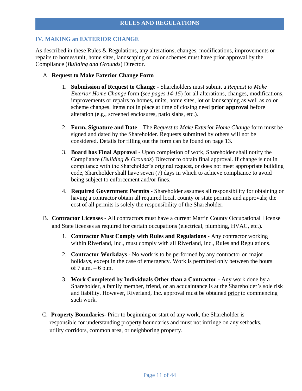#### **IV. MAKING an EXTERIOR CHANGE**

As described in these Rules & Regulations, any alterations, changes, modifications, improvements or repairs to homes/unit, home sites, landscaping or color schemes must have prior approval by the Compliance (*Building and Grounds*) Director.

#### A. **Request to Make Exterior Change Form**

- 1. **Submission of Request to Change** Shareholders must submit a *Request to Make Exterior Home Change* form (*see pages 14-15*) for all alterations, changes, modifications, improvements or repairs to homes, units, home sites, lot or landscaping as well as color scheme changes. Items not in place at time of closing need **prior approval** before alteration (e.g., screened enclosures, patio slabs, etc.).
- 2. **Form, Signature and Date** The *Request to Make Exterior Home Change* form must be signed and dated by the Shareholder. Requests submitted by others will not be considered. Details for filling out the form can be found on page 13.
- 3. **Board has Final Approval** Upon completion of work, Shareholder shall notify the Compliance (*Building & Grounds*) Director to obtain final approval. If change is not in compliance with the Shareholder's original request, or does not meet appropriate building code, Shareholder shall have seven (7) days in which to achieve compliance to avoid being subject to enforcement and/or fines.
- 4. **Required Government Permits** Shareholder assumes all responsibility for obtaining or having a contractor obtain all required local, county or state permits and approvals; the cost of all permits is solely the responsibility of the Shareholder.
- B. **Contractor Licenses** All contractors must have a current Martin County Occupational License and State licenses as required for certain occupations (electrical, plumbing, HVAC, etc.).
	- 1. **Contractor Must Comply with Rules and Regulations** Any contractor working within Riverland, Inc., must comply with all Riverland, Inc., Rules and Regulations.
	- 2. **Contractor Workdays** No work is to be performed by any contractor on major holidays, except in the case of emergency. Work is permitted only between the hours of 7 a.m. – 6 p.m.
	- 3. **Work Completed by Individuals Other than a Contractor** Any work done by a Shareholder, a family member, friend, or an acquaintance is at the Shareholder's sole risk and liability. However, Riverland, Inc. approval must be obtained prior to commencing such work.
- C. **Property Boundaries-** Prior to beginning or start of any work, the Shareholder is responsible for understanding property boundaries and must not infringe on any setbacks, utility corridors, common area, or neighboring property.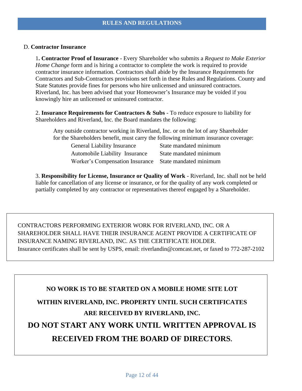#### D. **Contractor Insurance**

1**. Contractor Proof of Insurance** - Every Shareholder who submits a *Request to Make Exterior Home Change* form and is hiring a contractor to complete the work is required to provide contractor insurance information. Contractors shall abide by the Insurance Requirements for Contractors and Sub-Contractors provisions set forth in these Rules and Regulations. County and State Statutes provide fines for persons who hire unlicensed and uninsured contractors. Riverland, Inc. has been advised that your Homeowner's Insurance may be voided if you knowingly hire an unlicensed or uninsured contractor.

2. **Insurance Requirements for Contractors & Subs** - To reduce exposure to liability for Shareholders and Riverland, Inc. the Board mandates the following:

Any outside contractor working in Riverland, Inc. or on the lot of any Shareholder for the Shareholders benefit, must carry the following minimum insurance coverage:

| <b>General Liability Insurance</b> | State mandated minimum |
|------------------------------------|------------------------|
| Automobile Liability Insurance     | State mandated minimum |
| Worker's Compensation Insurance    | State mandated minimum |

3. **Responsibility for License, Insurance or Quality of Work** - Riverland, Inc. shall not be held liable for cancellation of any license or insurance, or for the quality of any work completed or partially completed by any contractor or representatives thereof engaged by a Shareholder.

CONTRACTORS PERFORMING EXTERIOR WORK FOR RIVERLAND, INC. OR A SHAREHOLDER SHALL HAVE THEIR INSURANCE AGENT PROVIDE A CERTIFICATE OF INSURANCE NAMING RIVERLAND, INC. AS THE CERTIFICATE HOLDER. Insurance certificates shall be sent by USPS, email: riverlandin@comcast.net, or faxed to 772-287-2102

# **NO WORK IS TO BE STARTED ON A MOBILE HOME SITE LOT WITHIN RIVERLAND, INC. PROPERTY UNTIL SUCH CERTIFICATES ARE RECEIVED BY RIVERLAND, INC. DO NOT START ANY WORK UNTIL WRITTEN APPROVAL IS RECEIVED FROM THE BOARD OF DIRECTORS.**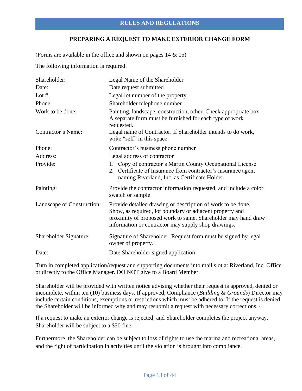#### **PREPARING A REQUEST TO MAKE EXTERIOR CHANGE FORM**

(Forms are available in the office and shown on pages 14 & 15)

The following information is required:

| Shareholder:               | Legal Name of the Shareholder                                                                                                                                                                                                                   |
|----------------------------|-------------------------------------------------------------------------------------------------------------------------------------------------------------------------------------------------------------------------------------------------|
| Date:                      | Date request submitted                                                                                                                                                                                                                          |
| Lot $#$ :                  | Legal lot number of the property                                                                                                                                                                                                                |
| Phone:                     | Shareholder telephone number                                                                                                                                                                                                                    |
| Work to be done:           | Painting, landscape, construction, other. Check appropriate box.<br>A separate form must be furnished for each type of work<br>requested.                                                                                                       |
| Contractor's Name:         | Legal name of Contractor. If Shareholder intends to do work,<br>write "self" in this space.                                                                                                                                                     |
| Phone:                     | Contractor's business phone number                                                                                                                                                                                                              |
| Address:                   | Legal address of contractor                                                                                                                                                                                                                     |
| Provide:                   | 1. Copy of contractor's Martin County Occupational License<br>2. Certificate of Insurance from contractor's insurance agent<br>naming Riverland, Inc. as Certificate Holder.                                                                    |
| Painting:                  | Provide the contractor information requested, and include a color<br>swatch or sample                                                                                                                                                           |
| Landscape or Construction: | Provide detailed drawing or description of work to be done.<br>Show, as required, lot boundary or adjacent property and<br>proximity of proposed work to same. Shareholder may hand draw<br>information or contractor may supply shop drawings. |
| Shareholder Signature:     | Signature of Shareholder. Request form must be signed by legal<br>owner of property.                                                                                                                                                            |
| Date:                      | Date Shareholder signed application                                                                                                                                                                                                             |

Turn in completed application/request and supporting documents into mail slot at Riverland, Inc. Office or directly to the Office Manager. DO NOT give to a Board Member.

Shareholder will be provided with written notice advising whether their request is approved, denied or incomplete, within ten (10) business days. If approved, Compliance (*Building & Grounds*) Director may include certain conditions, exemptions or restrictions which must be adhered to. If the request is denied, the Shareholder will be informed why and may resubmit a request with necessary corrections.

If a request to make an exterior change is rejected, and Shareholder completes the project anyway, Shareholder will be subject to a \$50 fine.

Furthermore, the Shareholder can be subject to loss of rights to use the marina and recreational areas, and the right of participation in activities until the violation is brought into compliance.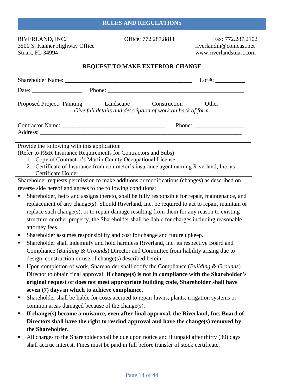RIVERLAND, INC. Office: 772.287.8811 Fax: 772.287.2102 3500 S. Kanner Highway Office riverlandin@comcast.net Stuart, FL 34994 www.riverlandstuart.com

#### **REQUEST TO MAKE EXTERIOR CHANGE**

|                                              |                                                                | Lot #: $\frac{1}{2}$                                                                           |
|----------------------------------------------|----------------------------------------------------------------|------------------------------------------------------------------------------------------------|
|                                              |                                                                |                                                                                                |
|                                              | Give full details and description of work on back of form.     | Proposed Project: Painting ________ Landscape __________ Construction __________ Other _______ |
|                                              |                                                                |                                                                                                |
|                                              |                                                                |                                                                                                |
| Provide the following with this application: |                                                                |                                                                                                |
|                                              | (Refer to R&R Insurance Requirements for Contractors and Subs) |                                                                                                |
|                                              | 1. Copy of Contractor's Martin County Occupational License.    |                                                                                                |
|                                              |                                                                | 2. Certificate of Insurance from contractor's insurance agent naming Riverland, Inc. as        |
| Certificate Holder.                          |                                                                |                                                                                                |
|                                              |                                                                | Shareholder requests permission to make additions or modifications (changes) as described on   |

Shareholder requests permission to make additions or modifications (changes) as described on reverse side hereof and agrees to the following conditions:

- **Exercise 1** Shareholder, heirs and assigns thereto, shall be fully responsible for repair, maintenance, and replacement of any change(s). Should Riverland, Inc. be required to act to repair, maintain or replace such change(s), or to repair damage resulting from them for any reason to existing structure or other property, the Shareholder shall be liable for charges including reasonable attorney fees.
- Shareholder assumes responsibility and cost for change and future upkeep.
- **Exercise Shareholder shall indemnify and hold harmless Riverland, Inc. its respective Board and** Compliance (*Building & Grounds*) Director and Committee from liability arising due to design, construction or use of change(s) described herein.
- Upon completion of work, Shareholder shall notify the Compliance (*Building & Grounds*) Director to obtain final approval. **If change(s) is not in compliance with the Shareholder's original request or does not meet appropriate building code, Shareholder shall have seven (7) days in which to achieve compliance.**
- **Example 1** Shareholder shall be liable for costs accrued to repair lawns, plants, irrigation systems or common areas damaged because of the change(s).
- **If change(s) become a nuisance, even after final approval, the Riverland, Inc. Board of Directors shall have the right to rescind approval and have the change(s) removed by the Shareholder.**
- All charges to the Shareholder shall be due upon notice and if unpaid after thirty (30) days shall accrue interest. Fines must be paid in full before transfer of stock certificate.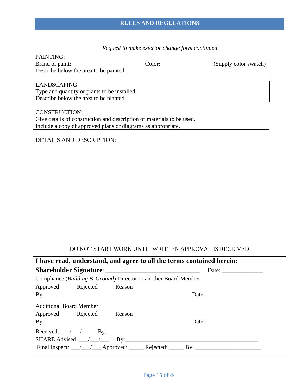#### **RULES AND REGULATIONS**

### *Request to make exterior change form continued*

| PAINTING:                                    |        |                       |
|----------------------------------------------|--------|-----------------------|
| Brand of paint:                              | Color: | (Supply color swatch) |
| Describe below the area to be painted.       |        |                       |
|                                              |        |                       |
| LANDSCAPING:                                 |        |                       |
| Type and quantity or plants to be installed: |        |                       |
| Describe below the area to be planted.       |        |                       |

CONSTRUCTION: Give details of construction and description of materials to be used. Include a copy of approved plans or diagrams as appropriate.

#### DETAILS AND DESCRIPTION:

#### DO NOT START WORK UNTIL WRITTEN APPROVAL IS RECEIVED

| I have read, understand, and agree to all the terms contained herein: |                                                          |
|-----------------------------------------------------------------------|----------------------------------------------------------|
|                                                                       |                                                          |
| Compliance (Building & Ground) Director or another Board Member:      |                                                          |
|                                                                       |                                                          |
| By: $\overline{\phantom{a}}$                                          |                                                          |
| <b>Additional Board Member:</b>                                       |                                                          |
| Approved Rejected Reason                                              |                                                          |
|                                                                       | Date: $\frac{1}{\sqrt{1-\frac{1}{2}} \cdot \frac{1}{2}}$ |
|                                                                       |                                                          |
| SHARE Advised: $\angle$ / By: By:                                     |                                                          |
|                                                                       |                                                          |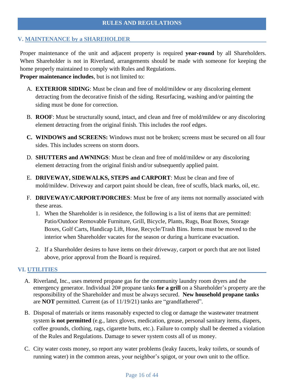#### **V. MAINTENANCE by a SHAREHOLDER**

Proper maintenance of the unit and adjacent property is required **year-round** by all Shareholders. When Shareholder is not in Riverland, arrangements should be made with someone for keeping the home properly maintained to comply with Rules and Regulations.

**Proper maintenance includes**, but is not limited to:

- A. **EXTERIOR SIDING**: Must be clean and free of mold/mildew or any discoloring element detracting from the decorative finish of the siding. Resurfacing, washing and/or painting the siding must be done for correction.
- B. **ROOF**: Must be structurally sound, intact, and clean and free of mold/mildew or any discoloring element detracting from the original finish. This includes the roof edges.
- **C. WINDOWS and SCREENS:** Windows must not be broken; screens must be secured on all four sides. This includes screens on storm doors.
- D. **SHUTTERS and AWNINGS**: Must be clean and free of mold/mildew or any discoloring element detracting from the original finish and/or subsequently applied paint.
- E. **DRIVEWAY, SIDEWALKS, STEPS and CARPORT**: Must be clean and free of mold/mildew. Driveway and carport paint should be clean, free of scuffs, black marks, oil, etc.
- F. **DRIVEWAY/CARPORT/PORCHES**: Must be free of any items not normally associated with these areas.
	- 1. When the Shareholder is in residence, the following is a list of items that are permitted: Patio/Outdoor Removable Furniture, Grill, Bicycle, Plants, Rugs, Boat Boxes, Storage Boxes, Golf Carts, Handicap Lift, Hose, Recycle/Trash Bins. Items must be moved to the interior when Shareholder vacates for the season or during a hurricane evacuation.
	- 2. If a Shareholder desires to have items on their driveway, carport or porch that are not listed above, prior approval from the Board is required.

#### **VI. UTILITIES**

- A. Riverland, Inc., uses metered propane gas for the community laundry room dryers and the emergency generator. Individual 20# propane tanks **for a grill** on a Shareholder's property are the responsibility of the Shareholder and must be always secured. **New household propane tanks** are **NOT** permitted. Current (as of 11/19/21) tanks are "grandfathered".
- B. Disposal of materials or items reasonably expected to clog or damage the wastewater treatment system **is not permitted** (e.g., latex gloves, medication, grease, personal sanitary items, diapers, coffee grounds, clothing, rags, cigarette butts, etc.). Failure to comply shall be deemed a violation of the Rules and Regulations. Damage to sewer system costs all of us money.
- C. City water costs money, so report any water problems (leaky faucets, leaky toilets, or sounds of running water) in the common areas, your neighbor's spigot, or your own unit to the office.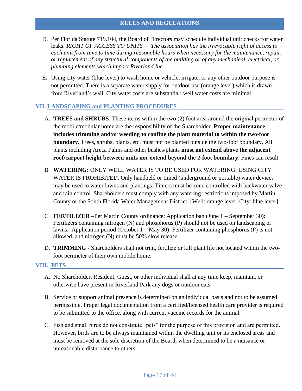- D. Per Florida Statute 719.104, the Board of Directors may schedule individual unit checks for water leaks: *RIGHT OF ACCESS TO UNITS — The association has the irrevocable right of access to each unit from time to time during reasonable hours when necessary for the maintenance, repair, or replacement of any structural components of the building or of any mechanical, electrical, or plumbing elements which impact Riverland Inc.*
- E. Using city water (blue lever) to wash home or vehicle, irrigate, or any other outdoor purpose is not permitted. There is a separate water supply for outdoor use (orange lever) which is drawn from Riverland's well. City water costs are substantial; well water costs are minimal.

#### **VII. LANDSCAPING and PLANTING PROCEDURES**

- A. **TREES and SHRUBS**: These items within the two (2) foot area around the original perimeter of the mobile/modular home are the responsibility of the Shareholder. **Proper maintenance includes trimming and/or weeding to confine the plant material to within the two-foot boundary**. Trees, shrubs, plants, etc. must not be planted outside the two-foot boundary. All plants including Areca Palms and other bushes/plants **must not extend above the adjacent roof/carport height between units nor extend beyond the 2-foot boundary.** Fines can result.
- B. **WATERING:** ONLY WELL WATER IS TO BE USED FOR WATERING; USING CITY WATER IS PROHIBITED. Only handheld or timed (underground or portable) water devices may be used to water lawns and plantings. Timers must be zone controlled with backwater valve and rain control. Shareholders must comply with any watering restrictions imposed by Martin County or the South Florida Water Management District. [Well: orange lever; City: blue lever]
- C. **FERTILIZER** –Per Martin County ordinance: Application ban (June 1 September 30): Fertilizers containing nitrogen (N) and phosphorus (P) should not be used on landscaping or lawns. Application period (October 1 – May 30): Fertilizer containing phosphorus (P) is not allowed, and nitrogen (N) must be 50% slow release.
- D. **TRIMMING** Shareholders shall not trim, fertilize or kill plant life not located within the twofoot perimeter of their own mobile home.

#### **VIII. PETS**

- A. No Shareholder, Resident, Guest, or other individual shall at any time keep, maintain, or otherwise have present in Riverland Park any dogs or outdoor cats.
- B. Service or support animal presence is determined on an individual basis and not to be assumed permissible. Proper legal documentation from a certified/licensed health care provider is required to be submitted to the office, along with current vaccine records for the animal.
- C. Fish and small birds do not constitute "pets" for the purpose of this provision and are permitted. However, birds are to be always maintained within the dwelling unit or its enclosed areas and must be removed at the sole discretion of the Board, when determined to be a nuisance or unreasonable disturbance to others.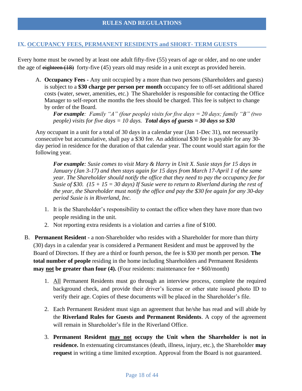#### **IX. OCCUPANCY FEES, PERMANENT RESIDENTS and SHORT- TERM GUESTS**

Every home must be owned by at least one adult fifty-five (55) years of age or older, and no one under the age of eighteen  $(18)$  forty-five  $(45)$  years old may reside in a unit except as provided herein.

A. **Occupancy Fees -** Any unit occupied by a more than two persons (Shareholders and guests) is subject to a **\$30 charge per person per month** occupancy fee to off-set additional shared costs (water, sewer, amenities, etc.) The Shareholder is responsible for contacting the Office Manager to self-report the months the fees should be charged. This fee is subject to change by order of the Board.

*For example: Family "A" (four people) visits for five days = 20 days; family "B" (two people) visits for five days = 10 days. Total days of guests = 30 days so \$30*

Any occupant in a unit for a total of 30 days in a calendar year (Jan 1-Dec 31), not necessarily consecutive but accumulative, shall pay a \$30 fee. An additional \$30 fee is payable for any 30 day period in residence for the duration of that calendar year. The count would start again for the following year*.* 

*For example: Susie comes to visit Mary & Harry in Unit X. Susie stays for 15 days in January (Jan 3-17) and then stays again for 15 days from March 17-April 1 of the same year. The Shareholder should notify the office that they need to pay the occupancy fee for Susie of \$30. (15 + 15 = 30 days) If Susie were to return to Riverland during the rest of the year, the Shareholder must notify the office and pay the \$30 fee again for any 30-day period Susie is in Riverland, Inc.*

- 1. It is the Shareholder's responsibility to contact the office when they have more than two people residing in the unit.
- 2. Not reporting extra residents is a violation and carries a fine of \$100.
- B. **Permanent Resident -** a non-Shareholder who resides with a Shareholder for more than thirty (30) days in a calendar year is considered a Permanent Resident and must be approved by the Board of Directors. If they are a third or fourth person, the fee is \$30 per month per person. **The total number of people** residing in the home including Shareholders and Permanent Residents **may <u>not</u>** be greater than four (4). (Four residents: maintenance fee  $+$  \$60/month)
	- 1. All Permanent Residents must go through an interview process, complete the required background check, and provide their driver's license or other state issued photo ID to verify their age. Copies of these documents will be placed in the Shareholder's file.
	- 2. Each Permanent Resident must sign an agreement that he/she has read and will abide by the **Riverland Rules for Guests and Permanent Residents**. A copy of the agreement will remain in Shareholder's file in the Riverland Office.
	- 3. **Permanent Resident may not occupy the Unit when the Shareholder is not in residence.** In extenuating circumstances (death, illness, injury, etc.), the Shareholder **may request** in writing a time limited exception. Approval from the Board is not guaranteed.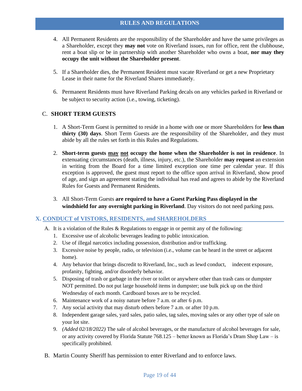- 4. All Permanent Residents are the responsibility of the Shareholder and have the same privileges as a Shareholder, except they **may not** vote on Riverland issues, run for office, rent the clubhouse, rent a boat slip or be in partnership with another Shareholder who owns a boat, **nor may they occupy the unit without the Shareholder present**.
- 5. If a Shareholder dies, the Permanent Resident must vacate Riverland or get a new Proprietary Lease in their name for the Riverland Shares immediately.
- 6. Permanent Residents must have Riverland Parking decals on any vehicles parked in Riverland or be subject to security action (i.e., towing, ticketing).

#### C. **SHORT TERM GUESTS**

- 1. A Short-Term Guest is permitted to reside in a home with one or more Shareholders for **less than thirty (30) days**. Short Term Guests are the responsibility of the Shareholder, and they must abide by all the rules set forth in this Rules and Regulations.
- 2. **Short-term guests may not occupy the home when the Shareholder is not in residence**. In extenuating circumstances (death, illness, injury, etc.), the Shareholder **may request** an extension in writing from the Board for a time limited exception one time per calendar year. If this exception is approved, the guest must report to the office upon arrival in Riverland, show proof of age, and sign an agreement stating the individual has read and agrees to abide by the Riverland Rules for Guests and Permanent Residents.
- 3. All Short-Term Guests **are required to have a Guest Parking Pass displayed in the windshield for any overnight parking in Riverland**. Day visitors do not need parking pass.

#### **X. CONDUCT of VISTORS, RESIDENTS, and SHAREHOLDERS**

- A. It is a violation of the Rules & Regulations to engage in or permit any of the following:
	- 1. Excessive use of alcoholic beverages leading to public intoxication.
	- 2. Use of illegal narcotics including possession, distribution and/or trafficking.
	- 3. Excessive noise by people, radio, or television (i.e., volume can be heard in the street or adjacent home).
	- 4. Any behavior that brings discredit to Riverland, Inc., such as lewd conduct, indecent exposure, profanity, fighting, and/or disorderly behavior.
	- 5. Disposing of trash or garbage in the river or toilet or anywhere other than trash cans or dumpster NOT permitted. Do not put large household items in dumpster; use bulk pick up on the third Wednesday of each month. Cardboard boxes are to be recycled.
	- 6. Maintenance work of a noisy nature before 7 a.m. or after 6 p.m.
	- 7. Any social activity that may disturb others before 7 a.m. or after 10 p.m.
	- 8. Independent garage sales, yard sales, patio sales, tag sales, moving sales or any other type of sale on your lot site.
	- 9. *(Added 02/18/2022)* The sale of alcohol beverages, or the manufacture of alcohol beverages for sale, or any activity covered by Florida Statute 768.125 – better known as Florida's Dram Shop Law – is specifically prohibited.
- B. Martin County Sheriff has permission to enter Riverland and to enforce laws.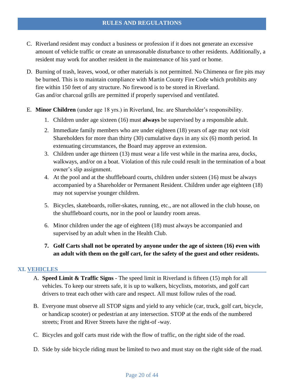- C. Riverland resident may conduct a business or profession if it does not generate an excessive amount of vehicle traffic or create an unreasonable disturbance to other residents. Additionally, a resident may work for another resident in the maintenance of his yard or home.
- D. Burning of trash, leaves, wood, or other materials is not permitted. No Chimenea or fire pits may be burned. This is to maintain compliance with Martin County Fire Code which prohibits any fire within 150 feet of any structure. No firewood is to be stored in Riverland. Gas and/or charcoal grills are permitted if properly supervised and ventilated.
- E. **Minor Children** (under age 18 yrs.) in Riverland, Inc. are Shareholder's responsibility.
	- 1. Children under age sixteen (16) must **always** be supervised by a responsible adult.
	- 2. Immediate family members who are under eighteen (18) years of age may not visit Shareholders for more than thirty (30) cumulative days in any six (6) month period. In extenuating circumstances, the Board may approve an extension.
	- 3. Children under age thirteen (13) must wear a life vest while in the marina area, docks, walkways, and/or on a boat. Violation of this rule could result in the termination of a boat owner's slip assignment.
	- 4. At the pool and at the shuffleboard courts, children under sixteen (16) must be always accompanied by a Shareholder or Permanent Resident. Children under age eighteen (18) may not supervise younger children.
	- 5. Bicycles, skateboards, roller-skates, running, etc., are not allowed in the club house, on the shuffleboard courts, nor in the pool or laundry room areas.
	- 6. Minor children under the age of eighteen (18) must always be accompanied and supervised by an adult when in the Health Club.
	- **7. Golf Carts shall not be operated by anyone under the age of sixteen (16) even with an adult with them on the golf cart, for the safety of the guest and other residents.**

#### **XI. VEHICLES**

- A. **Speed Limit & Traffic Signs** The speed limit in Riverland is fifteen (15) mph for all vehicles. To keep our streets safe, it is up to walkers, bicyclists, motorists, and golf cart drivers to treat each other with care and respect. All must follow rules of the road.
- B. Everyone must observe all STOP signs and yield to any vehicle (car, truck, golf cart, bicycle, or handicap scooter) or pedestrian at any intersection. STOP at the ends of the numbered streets; Front and River Streets have the right-of -way.
- C. Bicycles and golf carts must ride with the flow of traffic, on the right side of the road.
- D. Side by side bicycle riding must be limited to two and must stay on the right side of the road.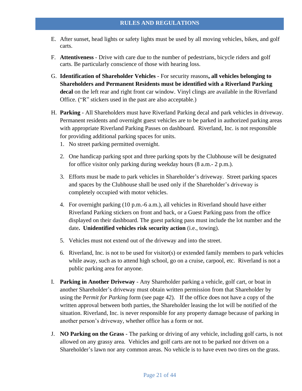- E. After sunset, head lights or safety lights must be used by all moving vehicles, bikes, and golf carts.
- F. **Attentiveness** Drive with care due to the number of pedestrians, bicycle riders and golf carts. Be particularly conscience of those with hearing loss.
- G. **Identification of Shareholder Vehicles** For security reasons**, all vehicles belonging to Shareholders and Permanent Residents must be identified with a Riverland Parking decal** on the left rear and right front car window. Vinyl clings are available in the Riverland Office. ("R" stickers used in the past are also acceptable.)
- H. **Parking** All Shareholders must have Riverland Parking decal and park vehicles in driveway. Permanent residents and overnight guest vehicles are to be parked in authorized parking areas with appropriate Riverland Parking Passes on dashboard. Riverland, Inc. is not responsible for providing additional parking spaces for units.
	- 1. No street parking permitted overnight.
	- 2. One handicap parking spot and three parking spots by the Clubhouse will be designated for office visitor only parking during weekday hours (8 a.m.- 2 p.m.).
	- 3. Efforts must be made to park vehicles in Shareholder's driveway. Street parking spaces and spaces by the Clubhouse shall be used only if the Shareholder's driveway is completely occupied with motor vehicles.
	- 4. For overnight parking (10 p.m.-6 a.m.), all vehicles in Riverland should have either Riverland Parking stickers on front and back, or a Guest Parking pass from the office displayed on their dashboard. The guest parking pass must include the lot number and the date**. Unidentified vehicles risk security action** (i.e., towing).
	- 5. Vehicles must not extend out of the driveway and into the street.
	- 6. Riverland, Inc. is not to be used for visitor(s) or extended family members to park vehicles while away, such as to attend high school, go on a cruise, carpool, etc. Riverland is not a public parking area for anyone.
- I. **Parking in Another Driveway** Any Shareholder parking a vehicle, golf cart, or boat in another Shareholder's driveway must obtain written permission from that Shareholder by using the P*ermit for Parking* form (see page 42). If the office does not have a copy of the written approval between both parties, the Shareholder leasing the lot will be notified of the situation. Riverland, Inc. is never responsible for any property damage because of parking in another person's driveway, whether office has a form or not.
- J. **NO Parking on the Grass** The parking or driving of any vehicle, including golf carts, is not allowed on any grassy area. Vehicles and golf carts are not to be parked nor driven on a Shareholder's lawn nor any common areas. No vehicle is to have even two tires on the grass.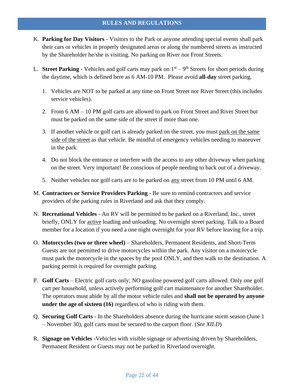- K. **Parking for Day Visitors** Visitors to the Park or anyone attending special events shall park their cars or vehicles in properly designated areas or along the numbered streets as instructed by the Shareholder he/she is visiting. No parking on River nor Front Streets.
- L. **Street Parking** Vehicles and golf carts may park on  $1<sup>st</sup> 9<sup>th</sup>$  Streets for short periods during the daytime, which is defined here as 6 AM-10 PM. Please avoid **all-day** street parking.
	- 1. Vehicles are NOT to be parked at any time on Front Street nor River Street (this includes service vehicles).
	- 2. From 6 AM 10 PM golf carts are allowed to park on Front Street and River Street but must be parked on the same side of the street if more than one.
	- 3. If another vehicle or golf cart is already parked on the street, you must park on the same side of the street as that vehicle. Be mindful of emergency vehicles needing to maneuver in the park.
	- 4. Do not block the entrance or interfere with the access to any other driveway when parking on the street. Very important! Be conscious of people needing to back out of a driveway.
	- 5. Neither vehicles nor golf carts are to be parked on any street from 10 PM until 6 AM.
- M. **Contractors or Service Providers Parking** Be sure to remind contractors and service providers of the parking rules in Riverland and ask that they comply.
- N. **Recreational Vehicles** An RV will be permitted to be parked on a Riverland, Inc., street briefly, ONLY for active loading and unloading. No overnight street parking. Talk to a Board member for a location if you need a one night overnight for your RV before leaving for a trip.
- O. **Motorcycles (two or three wheel)** Shareholders, Permanent Residents, and Short-Term Guests are not permitted to drive motorcycles within the park. Any visitor on a motorcycle must park the motorcycle in the spaces by the pool ONLY, and then walk to the destination. A parking permit is required for overnight parking.
- P. **Golf Carts** Electric golf carts only; NO gasoline powered golf carts allowed. Only one golf cart per household, unless actively performing golf cart maintenance for another Shareholder. The operators must abide by all the motor vehicle rules and **shall not be operated by anyone under the age of sixteen (16)** regardless of who is riding with them.
- Q. **Securing Golf Carts** In the Shareholders absence during the hurricane storm season (June 1 – November 30), golf carts must be secured to the carport floor. (*See XII.D*)
- R. **Signage on Vehicles -**Vehicles with visible signage or advertising driven by Shareholders, Permanent Resident or Guests may not be parked in Riverland overnight.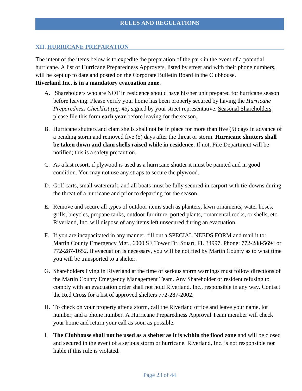#### **XII. HURRICANE PREPARATION**

The intent of the items below is to expedite the preparation of the park in the event of a potential hurricane. A list of Hurricane Preparedness Approvers, listed by street and with their phone numbers, will be kept up to date and posted on the Corporate Bulletin Board in the Clubhouse. **Riverland Inc. is in a mandatory evacuation zone**.

- A. Shareholders who are NOT in residence should have his/her unit prepared for hurricane season before leaving. Please verify your home has been properly secured by having the *Hurricane Preparedness Checklist (pg. 43)* signed by your street representative. Seasonal Shareholders please file this form **each year** before leaving for the season.
- B. Hurricane shutters and clam shells shall not be in place for more than five (5) days in advance of a pending storm and removed five (5) days after the threat or storm. **Hurricane shutters shall be taken down and clam shells raised while in residence**. If not, Fire Department will be notified; this is a safety precaution.
- C. As a last resort, if plywood is used as a hurricane shutter it must be painted and in good condition. You may not use any straps to secure the plywood.
- D. Golf carts, small watercraft, and all boats must be fully secured in carport with tie-downs during the threat of a hurricane and prior to departing for the season.
- E. Remove and secure all types of outdoor items such as planters, lawn ornaments, water hoses, grills, bicycles, propane tanks, outdoor furniture, potted plants, ornamental rocks, or shells, etc. Riverland, Inc. will dispose of any items left unsecured during an evacuation.
- F. If you are incapacitated in any manner, fill out a SPECIAL NEEDS FORM and mail it to: Martin County Emergency Mgt., 6000 SE Tower Dr. Stuart, FL 34997. Phone: 772-288-5694 or 772-287-1652. If evacuation is necessary, you will be notified by Martin County as to what time you will be transported to a shelter.
- G. Shareholders living in Riverland at the time of serious storm warnings must follow directions of the Martin County Emergency Management Team. Any Shareholder or resident refusing to comply with an evacuation order shall not hold Riverland, Inc., responsible in any way. Contact the Red Cross for a list of approved shelters 772-287-2002.
- H. To check on your property after a storm, call the Riverland office and leave your name, lot number, and a phone number. A Hurricane Preparedness Approval Team member will check your home and return your call as soon as possible.
- I. **The Clubhouse shall not be used as a shelter as it is within the flood zone** and will be closed and secured in the event of a serious storm or hurricane. Riverland, Inc. is not responsible nor liable if this rule is violated.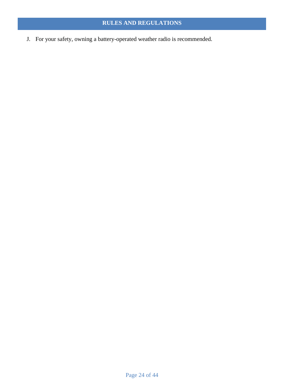J. For your safety, owning a battery-operated weather radio is recommended.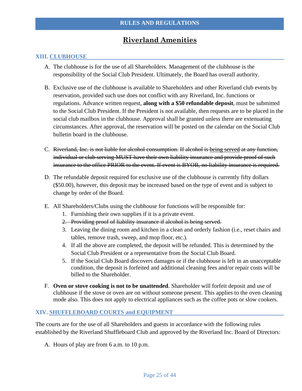## **Riverland Amenities**

#### **XIII. CLUBHOUSE**

- A. The clubhouse is for the use of all Shareholders. Management of the clubhouse is the responsibility of the Social Club President. Ultimately, the Board has overall authority.
- B. Exclusive use of the clubhouse is available to Shareholders and other Riverland club events by reservation, provided such use does not conflict with any Riverland, Inc. functions or regulations. Advance written request, **along with a \$50 refundable deposit**, must be submitted to the Social Club President. If the President is not available, then requests are to be placed in the social club mailbox in the clubhouse. Approval shall be granted unless there are extenuating circumstances. After approval, the reservation will be posted on the calendar on the Social Club bulletin board in the clubhouse.
- C. Riverland, Inc. is not liable for alcohol consumption. If alcohol is being served at any function, individual or club serving MUST have their own liability insurance and provide proof of such insurance to the office PRIOR to the event. If event is BYOB, no liability insurance is required.
- D. The refundable deposit required for exclusive use of the clubhouse is currently fifty dollars (\$50.00), however, this deposit may be increased based on the type of event and is subject to change by order of the Board.
- E. All Shareholders/Clubs using the clubhouse for functions will be responsible for:
	- 1. Furnishing their own supplies if it is a private event.
	- 2. Providing proof of liability insurance if alcohol is being served.
	- 3. Leaving the dining room and kitchen in a clean and orderly fashion (i.e., reset chairs and tables, remove trash, sweep, and mop floor, etc.).
	- 4. If all the above are completed, the deposit will be refunded. This is determined by the Social Club President or a representative from the Social Club Board.
	- 5. If the Social Club Board discovers damages or if the clubhouse is left in an unacceptable condition, the deposit is forfeited and additional cleaning fees and/or repair costs will be billed to the Shareholder.
- F. **Oven or stove cooking is not to be unattended**. Shareholder will forfeit deposit and use of clubhouse if the stove or oven are on without someone present. This applies to the oven cleaning mode also. This does not apply to electrical appliances such as the coffee pots or slow cookers.

#### **XIV. SHUFFLEBOARD COURTS and EQUIPMENT**

The courts are for the use of all Shareholders and guests in accordance with the following rules established by the Riverland Shuffleboard Club and approved by the Riverland Inc. Board of Directors:

A. Hours of play are from 6 a.m. to 10 p.m.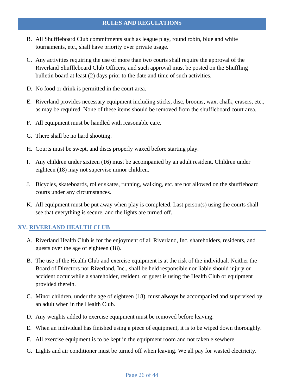- B. All Shuffleboard Club commitments such as league play, round robin, blue and white tournaments, etc., shall have priority over private usage.
- C. Any activities requiring the use of more than two courts shall require the approval of the Riverland Shuffleboard Club Officers, and such approval must be posted on the Shuffling bulletin board at least (2) days prior to the date and time of such activities.
- D. No food or drink is permitted in the court area.
- E. Riverland provides necessary equipment including sticks, disc, brooms, wax, chalk, erasers, etc., as may be required. None of these items should be removed from the shuffleboard court area.
- F. All equipment must be handled with reasonable care.
- G. There shall be no hard shooting.
- H. Courts must be swept, and discs properly waxed before starting play.
- I. Any children under sixteen (16) must be accompanied by an adult resident. Children under eighteen (18) may not supervise minor children.
- J. Bicycles, skateboards, roller skates, running, walking, etc. are not allowed on the shuffleboard courts under any circumstances.
- K. All equipment must be put away when play is completed. Last person(s) using the courts shall see that everything is secure, and the lights are turned off.

#### **XV. RIVERLAND HEALTH CLUB**

- A. Riverland Health Club is for the enjoyment of all Riverland, Inc. shareholders, residents, and guests over the age of eighteen (18).
- B. The use of the Health Club and exercise equipment is at the risk of the individual. Neither the Board of Directors nor Riverland, Inc., shall be held responsible nor liable should injury or accident occur while a shareholder, resident, or guest is using the Health Club or equipment provided therein.
- C. Minor children, under the age of eighteen (18), must **always** be accompanied and supervised by an adult when in the Health Club.
- D. Any weights added to exercise equipment must be removed before leaving.
- E. When an individual has finished using a piece of equipment, it is to be wiped down thoroughly.
- F. All exercise equipment is to be kept in the equipment room and not taken elsewhere.
- G. Lights and air conditioner must be turned off when leaving. We all pay for wasted electricity.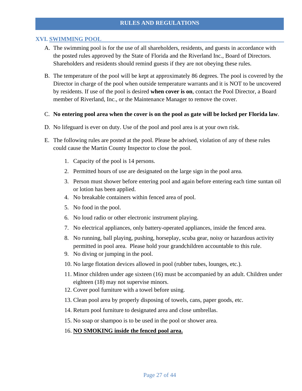#### **XVI. SWIMMING POOL**

- A. The swimming pool is for the use of all shareholders, residents, and guests in accordance with the posted rules approved by the State of Florida and the Riverland Inc., Board of Directors. Shareholders and residents should remind guests if they are not obeying these rules.
- B. The temperature of the pool will be kept at approximately 86 degrees. The pool is covered by the Director in charge of the pool when outside temperature warrants and it is NOT to be uncovered by residents. If use of the pool is desired **when cover is on**, contact the Pool Director, a Board member of Riverland, Inc., or the Maintenance Manager to remove the cover.
- C. **No entering pool area when the cover is on the pool as gate will be locked per Florida law**.
- D. No lifeguard is ever on duty. Use of the pool and pool area is at your own risk.
- E. The following rules are posted at the pool. Please be advised, violation of any of these rules could cause the Martin County Inspector to close the pool.
	- 1. Capacity of the pool is 14 persons.
	- 2. Permitted hours of use are designated on the large sign in the pool area.
	- 3. Person must shower before entering pool and again before entering each time suntan oil or lotion has been applied.
	- 4. No breakable containers within fenced area of pool.
	- 5. No food in the pool.
	- 6. No loud radio or other electronic instrument playing.
	- 7. No electrical appliances, only battery-operated appliances, inside the fenced area.
	- 8. No running, ball playing, pushing, horseplay, scuba gear, noisy or hazardous activity permitted in pool area. Please hold your grandchildren accountable to this rule.
	- 9. No diving or jumping in the pool.
	- 10. No large flotation devices allowed in pool (rubber tubes, lounges, etc.).
	- 11. Minor children under age sixteen (16) must be accompanied by an adult. Children under eighteen (18) may not supervise minors.
	- 12. Cover pool furniture with a towel before using.
	- 13. Clean pool area by properly disposing of towels, cans, paper goods, etc.
	- 14. Return pool furniture to designated area and close umbrellas.
	- 15. No soap or shampoo is to be used in the pool or shower area.
	- 16. **NO SMOKING inside the fenced pool area.**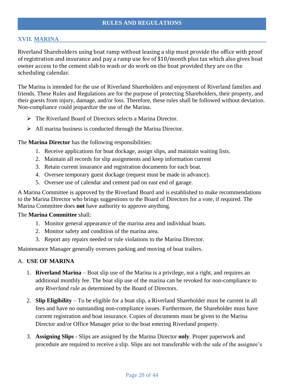#### **XVII. MARINA**

Riverland Shareholders using boat ramp without leasing a slip must provide the office with proof of registration and insurance and pay a ramp use fee of \$10/month plus tax which also gives boat owner access to the cement slab to wash or do work on the boat provided they are on the scheduling calendar.

The Marina is intended for the use of Riverland Shareholders and enjoyment of Riverland families and friends. These Rules and Regulations are for the purpose of protecting Shareholders, their property, and their guests from injury, damage, and/or loss. Therefore, these rules shall be followed without deviation. Non-compliance could jeopardize the use of the Marina.

- ➢ The Riverland Board of Directors selects a Marina Director.
- ➢ All marina business is conducted through the Marina Director.

The **Marina Director** has the following responsibilities:

- 1. Receive applications for boat dockage, assign slips, and maintain waiting lists.
- 2. Maintain all records for slip assignments and keep information current
- 3. Retain current insurance and registration documents for each boat.
- 4. Oversee temporary guest dockage (request must be made in advance).
- 5. Oversee use of calendar and cement pad on east end of garage.

A Marina Committee is approved by the Riverland Board and is established to make recommendations to the Marina Director who brings suggestions to the Board of Directors for a vote, if required. The Marina Committee does **not** have authority to approve anything.

#### The **Marina Committee** shall:

- 1. Monitor general appearance of the marina area and individual boats.
- 2. Monitor safety and condition of the marina area.
- 3. Report any repairs needed or rule violations to the Marina Director.

Maintenance Manager generally oversees parking and moving of boat trailers.

#### A. **USE OF MARINA**

- 1. **Riverland Marina** Boat slip use of the Marina is a privilege, not a right, and requires an additional monthly fee. The boat slip use of the marina can be revoked for non-compliance *to any Riverland rule* as determined by the Board of Directors.
- 2. **Slip Eligibility**  To be eligible for a boat slip, a Riverland Shareholder must be current in all fees and have no outstanding non-compliance issues. Furthermore, the Shareholder must have current registration and boat insurance. Copies of documents must be given to the Marina Director and/or Office Manager prior to the boat entering Riverland property.
- 3. **Assigning Slips** Slips are assigned by the Marina Director **only**. Proper paperwork and procedure are required to receive a slip. Slips are not transferable with the sale of the assignee's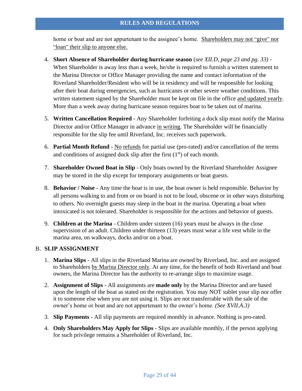home or boat and are not appurtenant to the assignee's home. Shareholders may not "give" nor "loan" their slip to anyone else.

- 4. **Short Absence of Shareholder during hurricane season** (*see XII.D, page 23 and pg. 33)* When Shareholder is away less than a week, he/she is required to furnish a written statement to the Marina Director or Office Manager providing the name and contact information of the Riverland Shareholder/Resident who will be in residency and will be responsible for looking after their boat during emergencies, such as hurricanes or other severe weather conditions. This written statement signed by the Shareholder must be kept on file in the office and updated yearly. More than a week away during hurricane season requires boat to be taken out of marina.
- 5. **Written Cancellation Required** Any Shareholder forfeiting a dock slip must notify the Marina Director and/or Office Manager in advance in writing. The Shareholder will be financially responsible for the slip fee until Riverland, Inc. receives such paperwork.
- 6. **Partial Month Refund** No refunds for partial use (pro-rated) and/or cancellation of the terms and conditions of assigned dock slip after the first  $(1<sup>st</sup>)$  of each month.
- 7. **Shareholder Owned Boat in Slip** Only boats owned by the Riverland Shareholder Assignee may be stored in the slip except for temporary assignments or boat guests.
- 8. **Behavior / Noise** Any time the boat is in use, the boat owner is held responsible. Behavior by all persons walking to and from or on board is not to be loud, obscene or in other ways disturbing to others. No overnight guests may sleep in the boat in the marina. Operating a boat when intoxicated is not tolerated. Shareholder is responsible for the actions and behavior of guests.
- 9. **Children at the Marina** Children under sixteen (16) years must be always in the close supervision of an adult. Children under thirteen (13) years must wear a life vest while in the marina area, on walkways, docks and/or on a boat.

#### B. **SLIP ASSIGNMENT**

- 1. **Marina Slips** All slips in the Riverland Marina are owned by Riverland, Inc. and are assigned to Shareholders by Marina Director only. At any time, for the benefit of both Riverland and boat owners, the Marina Director has the authority to re-arrange slips to maximize usage.
- 2. **Assignment of Slips** All assignments are **made only** by the Marina Director and are based upon the length of the boat as stated on the registration. You may NOT sublet your slip nor offer it to someone else when you are not using it. Slips are not transferrable with the sale of the owner's home or boat and are not appurtenant to the owner's home. *(See XVII.A.3)*
- 3. **Slip Payments** All slip payments are required monthly in advance. Nothing is pro-rated.
- 4. **Only Shareholders May Apply for Slips** Slips are available monthly, if the person applying for such privilege remains a Shareholder of Riverland, Inc.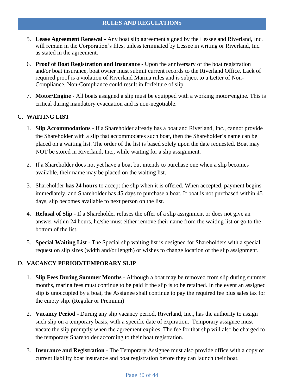- 5. **Lease Agreement Renewal** Any boat slip agreement signed by the Lessee and Riverland, Inc. will remain in the Corporation's files, unless terminated by Lessee in writing or Riverland, Inc. as stated in the agreement.
- 6. **Proof of Boat Registration and Insurance** Upon the anniversary of the boat registration and/or boat insurance, boat owner must submit current records to the Riverland Office. Lack of required proof is a violation of Riverland Marina rules and is subject to a Letter of Non-Compliance. Non-Compliance could result in forfeiture of slip.
- 7. **Motor/Engine** All boats assigned a slip must be equipped with a working motor/engine. This is critical during mandatory evacuation and is non-negotiable.

#### C. **WAITING LIST**

- 1. **Slip Accommodations** If a Shareholder already has a boat and Riverland, Inc., cannot provide the Shareholder with a slip that accommodates such boat, then the Shareholder's name can be placed on a waiting list. The order of the list is based solely upon the date requested. Boat may NOT be stored in Riverland, Inc., while waiting for a slip assignment.
- 2. If a Shareholder does not yet have a boat but intends to purchase one when a slip becomes available, their name may be placed on the waiting list.
- 3. Shareholder **has 24 hours** to accept the slip when it is offered. When accepted, payment begins immediately, and Shareholder has 45 days to purchase a boat. If boat is not purchased within 45 days, slip becomes available to next person on the list.
- 4. **Refusal of Slip** If a Shareholder refuses the offer of a slip assignment or does not give an answer within 24 hours, he/she must either remove their name from the waiting list or go to the bottom of the list.
- 5. **Special Waiting List** The Special slip waiting list is designed for Shareholders with a special request on slip sizes (width and/or length) or wishes to change location of the slip assignment.

#### D. **VACANCY PERIOD/TEMPORARY SLIP**

- 1. **Slip Fees During Summer Months** Although a boat may be removed from slip during summer months, marina fees must continue to be paid if the slip is to be retained. In the event an assigned slip is unoccupied by a boat, the Assignee shall continue to pay the required fee plus sales tax for the empty slip. (Regular or Premium)
- 2. **Vacancy Period** During any slip vacancy period, Riverland, Inc., has the authority to assign such slip on a temporary basis, with a specific date of expiration. Temporary assignee must vacate the slip promptly when the agreement expires. The fee for that slip will also be charged to the temporary Shareholder according to their boat registration.
- 3. **Insurance and Registration** The Temporary Assignee must also provide office with a copy of current liability boat insurance and boat registration before they can launch their boat.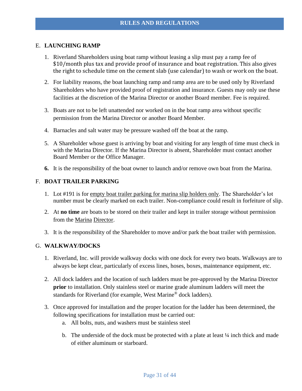#### E. **LAUNCHING RAMP**

- 1. Riverland Shareholders using boat ramp without leasing a slip must pay a ramp fee of \$10/month plus tax and provide proof of insurance and boat registration. This also gives the right to schedule time on the cement slab (use calendar) to wash or work on the boat.
- 2. For liability reasons, the boat launching ramp and ramp area are to be used only by Riverland Shareholders who have provided proof of registration and insurance. Guests may only use these facilities at the discretion of the Marina Director or another Board member. Fee is required.
- 3. Boats are not to be left unattended nor worked on in the boat ramp area without specific permission from the Marina Director or another Board Member.
- 4. Barnacles and salt water may be pressure washed off the boat at the ramp.
- 5. A Shareholder whose guest is arriving by boat and visiting for any length of time must check in with the Marina Director. If the Marina Director is absent, Shareholder must contact another Board Member or the Office Manager.
- **6.** It is the responsibility of the boat owner to launch and/or remove own boat from the Marina.

#### F. **BOAT TRAILER PARKING**

- 1. Lot #191 is for empty boat trailer parking for marina slip holders only. The Shareholder's lot number must be clearly marked on each trailer. Non-compliance could result in forfeiture of slip.
- 2. At **no time** are boats to be stored on their trailer and kept in trailer storage without permission from the Marina Director.
- 3. It is the responsibility of the Shareholder to move and/or park the boat trailer with permission.

#### G. **WALKWAY/DOCKS**

- 1. Riverland, Inc. will provide walkway docks with one dock for every two boats. Walkways are to always be kept clear, particularly of excess lines, hoses, boxes, maintenance equipment, etc.
- 2. All dock ladders and the location of such ladders must be pre-approved by the Marina Director **prior** to installation. Only stainless steel or marine grade aluminum ladders will meet the standards for Riverland (for example, West Marine® dock ladders).
- 3. Once approved for installation and the proper location for the ladder has been determined, the following specifications for installation must be carried out:
	- a. All bolts, nuts, and washers must be stainless steel
	- b. The underside of the dock must be protected with a plate at least  $\frac{1}{4}$  inch thick and made of either aluminum or starboard.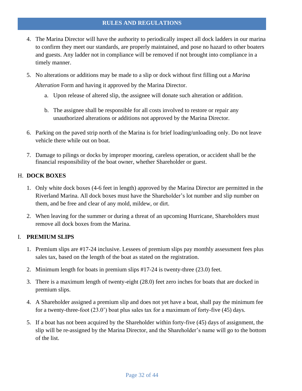- 4. The Marina Director will have the authority to periodically inspect all dock ladders in our marina to confirm they meet our standards, are properly maintained, and pose no hazard to other boaters and guests. Any ladder not in compliance will be removed if not brought into compliance in a timely manner.
- 5. No alterations or additions may be made to a slip or dock without first filling out a *Marina Alteration* Form and having it approved by the Marina Director.
	- a. Upon release of altered slip, the assignee will donate such alteration or addition.
	- b. The assignee shall be responsible for all costs involved to restore or repair any unauthorized alterations or additions not approved by the Marina Director.
- 6. Parking on the paved strip north of the Marina is for brief loading/unloading only. Do not leave vehicle there while out on boat.
- 7. Damage to pilings or docks by improper mooring, careless operation, or accident shall be the financial responsibility of the boat owner, whether Shareholder or guest.

#### H. **DOCK BOXES**

- 1. Only white dock boxes (4-6 feet in length) approved by the Marina Director are permitted in the Riverland Marina. All dock boxes must have the Shareholder's lot number and slip number on them, and be free and clear of any mold, mildew, or dirt.
- 2. When leaving for the summer or during a threat of an upcoming Hurricane, Shareholders must remove all dock boxes from the Marina.

#### I. **PREMIUM SLIPS**

- 1. Premium slips are #17-24 inclusive. Lessees of premium slips pay monthly assessment fees plus sales tax, based on the length of the boat as stated on the registration.
- 2. Minimum length for boats in premium slips #17-24 is twenty-three (23.0) feet.
- 3. There is a maximum length of twenty-eight (28.0) feet zero inches for boats that are docked in premium slips.
- 4. A Shareholder assigned a premium slip and does not yet have a boat, shall pay the minimum fee for a twenty-three-foot (23.0') boat plus sales tax for a maximum of forty-five (45) days.
- 5. If a boat has not been acquired by the Shareholder within forty-five (45) days of assignment, the slip will be re-assigned by the Marina Director, and the Shareholder's name will go to the bottom of the list.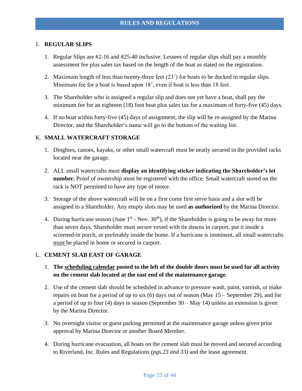#### J. **REGULAR SLIPS**

- 1. Regular Slips are #2-16 and #25-40 inclusive. Lessees of regular slips shall pay a monthly assessment fee plus sales tax based on the length of the boat as stated on the registration.
- 2. Maximum length of less than twenty-three feet (23') for boats to be docked in regular slips. Minimum fee for a boat is based upon 18', even if boat is less than 18 feet.
- 3. The Shareholder who is assigned a regular slip and does not yet have a boat, shall pay the minimum fee for an eighteen (18) foot boat plus sales tax for a maximum of forty-five (45) days.
- 4. If no boat within forty-five (45) days of assignment, the slip will be re-assigned by the Marina Director, and the Shareholder's name will go to the bottom of the waiting list.

#### K. **SMALL WATERCRAFT STORAGE**

- 1. Dinghies, canoes, kayaks, or other small watercraft must be neatly secured in the provided racks located near the garage.
- 2. ALL small watercrafts must **display an identifying sticker indicating the Shareholder's lot number.** Proof of ownership must be registered with the office. Small watercraft stored on the rack is NOT permitted to have any type of motor.
- 3. Storage of the above watercraft will be on a first come first serve basis and a slot will be assigned to a Shareholder. Any empty slots may be used **as authorized** by the Marina Director.
- 4. During hurricane season (June  $1^{st}$  Nov.  $30^{th}$ ), if the Shareholder is going to be away for more than seven days, Shareholder must secure vessel with tie downs in carport, put it inside a screened-in porch, or preferably inside the home. If a hurricane is imminent, all small watercrafts must be placed in home or secured in carport.

#### L. **CEMENT SLAB EAST OF GARAGE**

- 1. **The scheduling calendar posted to the left of the double doors must be used for all activity on the cement slab located at the east end of the maintenance garage**.
- 2. Use of the cement slab should be scheduled in advance to pressure wash, paint, varnish, or make repairs on boat for a period of up to six (6) days out of season (May 15 – September 29), and for a period of up to four (4) days in season (September 30 – May 14) unless an extension is given by the Marina Director.
- 3. No overnight visitor or guest parking permitted at the maintenance garage unless given prior approval by Marina Director or another Board Member.
- 4. During hurricane evacuation, all boats on the cement slab must be moved and secured according to Riverland, Inc. Rules and Regulations *(pgs.23 and 33)* and the lease agreement.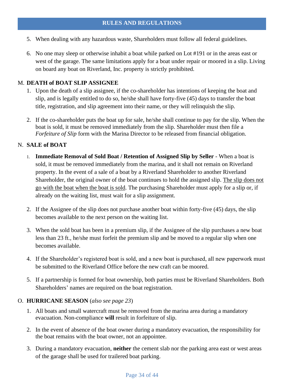- 5. When dealing with any hazardous waste, Shareholders must follow all federal guidelines.
- 6. No one may sleep or otherwise inhabit a boat while parked on Lot #191 or in the areas east or west of the garage. The same limitations apply for a boat under repair or moored in a slip. Living on board any boat on Riverland, Inc. property is strictly prohibited.

#### M. **DEATH of BOAT SLIP ASSIGNEE**

- 1. Upon the death of a slip assignee, if the co-shareholder has intentions of keeping the boat and slip, and is legally entitled to do so, he/she shall have forty-five (45) days to transfer the boat title, registration, and slip agreement into their name, or they will relinquish the slip.
- 2. If the co-shareholder puts the boat up for sale, he/she shall continue to pay for the slip. When the boat is sold, it must be removed immediately from the slip. Shareholder must then file a *Forfeiture of Slip* form with the Marina Director to be released from financial obligation.

#### N. **SALE of BOAT**

- 1. **Immediate Removal of Sold Boat / Retention of Assigned Slip by Seller** When a boat is sold, it must be removed immediately from the marina, and it shall not remain on Riverland property. In the event of a sale of a boat by a Riverland Shareholder to another Riverland Shareholder, the original owner of the boat continues to hold the assigned slip. The slip does not go with the boat when the boat is sold. The purchasing Shareholder must apply for a slip or, if already on the waiting list, must wait for a slip assignment.
- 2. If the Assignee of the slip does not purchase another boat within forty-five (45) days, the slip becomes available to the next person on the waiting list.
- 3. When the sold boat has been in a premium slip, if the Assignee of the slip purchases a new boat less than 23 ft., he/she must forfeit the premium slip and be moved to a regular slip when one becomes available.
- 4. If the Shareholder's registered boat is sold, and a new boat is purchased, all new paperwork must be submitted to the Riverland Office before the new craft can be moored.
- 5. If a partnership is formed for boat ownership, both parties must be Riverland Shareholders. Both Shareholders' names are required on the boat registration.

#### O. **HURRICANE SEASON** (*also see page 23*)

- 1. All boats and small watercraft must be removed from the marina area during a mandatory evacuation. Non-compliance **will** result in forfeiture of slip.
- 2. In the event of absence of the boat owner during a mandatory evacuation, the responsibility for the boat remains with the boat owner, not an appointee.
- 3. During a mandatory evacuation, **neither** the cement slab nor the parking area east or west areas of the garage shall be used for trailered boat parking.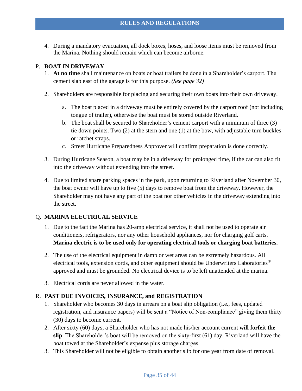4. During a mandatory evacuation, all dock boxes, hoses, and loose items must be removed from the Marina. Nothing should remain which can become airborne.

#### P. **BOAT IN DRIVEWAY**

- 1. **At no time** shall maintenance on boats or boat trailers be done in a Shareholder's carport. The cement slab east of the garage is for this purpose. *(See page 32)*
- 2. Shareholders are responsible for placing and securing their own boats into their own driveway.
	- a. The boat placed in a driveway must be entirely covered by the carport roof (not including tongue of trailer), otherwise the boat must be stored outside Riverland.
	- b. The boat shall be secured to Shareholder's cement carport with a minimum of three (3) tie down points. Two (2) at the stern and one (1) at the bow, with adjustable turn buckles or ratchet straps.
	- c. Street Hurricane Preparedness Approver will confirm preparation is done correctly.
- 3. During Hurricane Season, a boat may be in a driveway for prolonged time, if the car can also fit into the driveway without extending into the street.
- 4. Due to limited spare parking spaces in the park, upon returning to Riverland after November 30, the boat owner will have up to five (5) days to remove boat from the driveway. However, the Shareholder may not have any part of the boat nor other vehicles in the driveway extending into the street.

#### Q. **MARINA ELECTRICAL SERVICE**

- 1. Due to the fact the Marina has 20-amp electrical service, it shall not be used to operate air conditioners, refrigerators, nor any other household appliances, nor for charging golf carts. **Marina electric is to be used only for operating electrical tools or charging boat batteries.**
- 2. The use of the electrical equipment in damp or wet areas can be extremely hazardous. All electrical tools, extension cords, and other equipment should be Underwriters Laboratories<sup>®</sup> approved and must be grounded. No electrical device is to be left unattended at the marina.
- 3. Electrical cords are never allowed in the water.

#### R. **PAST DUE INVOICES, INSURANCE, and REGISTRATION**

- 1. Shareholder who becomes 30 days in arrears on a boat slip obligation (i.e., fees, updated registration, and insurance papers) will be sent a "Notice of Non-compliance" giving them thirty (30) days to become current.
- 2. After sixty (60) days, a Shareholder who has not made his/her account current **will forfeit the slip**. The Shareholder's boat will be removed on the sixty-first (61) day. Riverland will have the boat towed at the Shareholder's expense plus storage charges.
- 3. This Shareholder will not be eligible to obtain another slip for one year from date of removal.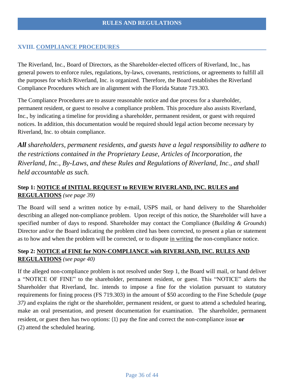#### **XVIII. COMPLIANCE PROCEDURES**

The Riverland, Inc., Board of Directors, as the Shareholder-elected officers of Riverland, Inc., has general powers to enforce rules, regulations, by-laws, covenants, restrictions, or agreements to fulfill all the purposes for which Riverland, Inc. is organized. Therefore, the Board establishes the Riverland Compliance Procedures which are in alignment with the Florida Statute 719.303.

The Compliance Procedures are to assure reasonable notice and due process for a shareholder, permanent resident, or guest to resolve a compliance problem. This procedure also assists Riverland, Inc., by indicating a timeline for providing a shareholder, permanent resident, or guest with required notices. In addition, this documentation would be required should legal action become necessary by Riverland, Inc. to obtain compliance.

*All shareholders, permanent residents, and guests have a legal responsibility to adhere to the restrictions contained in the Proprietary Lease, Articles of Incorporation, the Riverland, Inc., By-Laws, and these Rules and Regulations of Riverland, Inc., and shall held accountable as such.* 

#### **Step 1: NOTICE of INITIAL REQUEST to REVIEW RIVERLAND, INC. RULES and REGULATIONS** *(see page 39)*

The Board will send a written notice by e-mail, USPS mail, or hand delivery to the Shareholder describing an alleged non-compliance problem. Upon receipt of this notice, the Shareholder will have a specified number of days to respond. Shareholder may contact the Compliance (*Building & Grounds*) Director and/or the Board indicating the problem cited has been corrected, to present a plan or statement as to how and when the problem will be corrected, or to dispute in writing the non-compliance notice.

#### **Step 2: NOTICE of FINE for NON-COMPLIANCE with RIVERLAND, INC. RULES AND REGULATIONS** *(see page 40)*

If the alleged non-compliance problem is not resolved under Step 1, the Board will mail, or hand deliver a "NOTICE OF FINE" to the shareholder, permanent resident, or guest. This "NOTICE" alerts the Shareholder that Riverland, Inc. intends to impose a fine for the violation pursuant to statutory requirements for fining process (FS 719.303) in the amount of \$50 according to the Fine Schedule (*page 37)* and explains the right or the shareholder, permanent resident, or guest to attend a scheduled hearing, make an oral presentation, and present documentation for examination. The shareholder, permanent resident, or guest then has two options: (1) pay the fine and correct the non-compliance issue **or** (2) attend the scheduled hearing.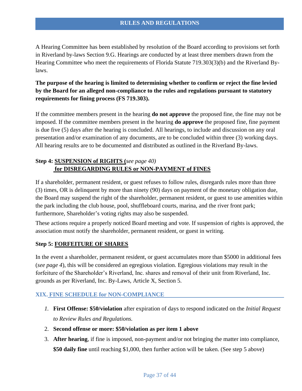A Hearing Committee has been established by resolution of the Board according to provisions set forth in Riverland by-laws Section 9.G. Hearings are conducted by at least three members drawn from the Hearing Committee who meet the requirements of Florida Statute 719.303(3)(b) and the Riverland Bylaws.

#### **The purpose of the hearing is limited to determining whether to confirm or reject the fine levied by the Board for an alleged non-compliance to the rules and regulations pursuant to statutory requirements for fining process (FS 719.303).**

If the committee members present in the hearing **do not approve** the proposed fine, the fine may not be imposed. If the committee members present in the hearing **do approve** the proposed fine, fine payment is due five (5) days after the hearing is concluded. All hearings, to include and discussion on any oral presentation and/or examination of any documents, are to be concluded within three (3) working days. All hearing results are to be documented and distributed as outlined in the Riverland By-laws.

#### **Step 4: SUSPENSION of RIGHTS (***see page 40)* **for DISREGARDING RULES or NON-PAYMENT of FINES**

If a shareholder, permanent resident, or guest refuses to follow rules, disregards rules more than three (3) times, OR is delinquent by more than ninety (90) days on payment of the monetary obligation due, the Board may suspend the right of the shareholder, permanent resident, or guest to use amenities within the park including the club house, pool, shuffleboard courts, marina, and the river front park; furthermore, Shareholder's voting rights may also be suspended.

These actions require a properly noticed Board meeting and vote. If suspension of rights is approved, the association must notify the shareholder, permanent resident, or guest in writing.

#### **Step 5: FORFEITURE OF SHARES**

In the event a shareholder, permanent resident, or guest accumulates more than \$5000 in additional fees (*see page 4*), this will be considered an egregious violation. Egregious violations may result in the forfeiture of the Shareholder's Riverland, Inc. shares and removal of their unit from Riverland, Inc. grounds as per Riverland, Inc. By-Laws, Article X, Section 5.

#### **XIX. FINE SCHEDULE for NON-COMPLIANCE**

- *1.* **First Offense: \$50/violation** after expiration of days to respond indicated on the *Initial Request to Review Rules and Regulations.*
- 2. **Second offense or more: \$50/violation as per item 1 above**
- 3. **After hearing**, if fine is imposed, non-payment and/or not bringing the matter into compliance, **\$50 daily fine** until reaching \$1,000, then further action will be taken. (See step 5 above)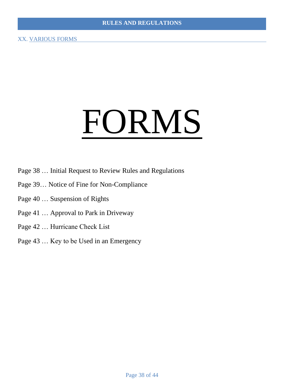# FORMS

- Page 38 … Initial Request to Review Rules and Regulations
- Page 39… Notice of Fine for Non-Compliance
- Page 40 … Suspension of Rights
- Page 41 … Approval to Park in Driveway
- Page 42 … Hurricane Check List
- Page 43 … Key to be Used in an Emergency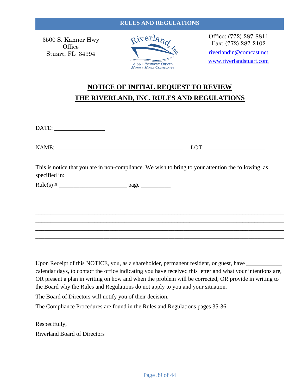3500 S. Kanner Hwy **Office** Stuart, FL 34994



Office: (772) 287-8811 Fax: (772) 287-2102 [riverlandin@comcast.net](mailto:riverlandin@comcast.net) [www.riverlandstuart.com](http://www.riverlandstuart.com/)

# **NOTICE OF INITIAL REQUEST TO REVIEW THE RIVERLAND, INC. RULES AND REGULATIONS**

DATE:

| <b>NAME:</b><br>. .<br>the contract of the contract of the contract of the contract of the contract of | _____<br>∼πг<br>$\overline{\phantom{0}}$ |
|--------------------------------------------------------------------------------------------------------|------------------------------------------|
|                                                                                                        |                                          |

This is notice that you are in non-compliance. We wish to bring to your attention the following, as specified in:

\_\_\_\_\_\_\_\_\_\_\_\_\_\_\_\_\_\_\_\_\_\_\_\_\_\_\_\_\_\_\_\_\_\_\_\_\_\_\_\_\_\_\_\_\_\_\_\_\_\_\_\_\_\_\_\_\_\_\_\_\_\_\_\_\_\_\_\_\_\_\_\_\_\_\_\_\_\_\_\_\_\_\_\_ \_\_\_\_\_\_\_\_\_\_\_\_\_\_\_\_\_\_\_\_\_\_\_\_\_\_\_\_\_\_\_\_\_\_\_\_\_\_\_\_\_\_\_\_\_\_\_\_\_\_\_\_\_\_\_\_\_\_\_\_\_\_\_\_\_\_\_\_\_\_\_\_\_\_\_\_\_\_\_\_\_\_\_\_ \_\_\_\_\_\_\_\_\_\_\_\_\_\_\_\_\_\_\_\_\_\_\_\_\_\_\_\_\_\_\_\_\_\_\_\_\_\_\_\_\_\_\_\_\_\_\_\_\_\_\_\_\_\_\_\_\_\_\_\_\_\_\_\_\_\_\_\_\_\_\_\_\_\_\_\_\_\_\_\_\_\_\_\_ \_\_\_\_\_\_\_\_\_\_\_\_\_\_\_\_\_\_\_\_\_\_\_\_\_\_\_\_\_\_\_\_\_\_\_\_\_\_\_\_\_\_\_\_\_\_\_\_\_\_\_\_\_\_\_\_\_\_\_\_\_\_\_\_\_\_\_\_\_\_\_\_\_\_\_\_\_\_\_\_\_\_\_\_ \_\_\_\_\_\_\_\_\_\_\_\_\_\_\_\_\_\_\_\_\_\_\_\_\_\_\_\_\_\_\_\_\_\_\_\_\_\_\_\_\_\_\_\_\_\_\_\_\_\_\_\_\_\_\_\_\_\_\_\_\_\_\_\_\_\_\_\_\_\_\_\_\_\_\_\_\_\_\_\_\_\_\_\_ \_\_\_\_\_\_\_\_\_\_\_\_\_\_\_\_\_\_\_\_\_\_\_\_\_\_\_\_\_\_\_\_\_\_\_\_\_\_\_\_\_\_\_\_\_\_\_\_\_\_\_\_\_\_\_\_\_\_\_\_\_\_\_\_\_\_\_\_\_\_\_\_\_\_\_\_\_\_\_\_\_\_\_\_

 $Rule(s) # \_$ 

Upon Receipt of this NOTICE, you, as a shareholder, permanent resident, or guest, have \_\_\_\_\_\_\_\_\_\_\_\_\_\_\_\_\_\_\_\_\_\_\_ calendar days, to contact the office indicating you have received this letter and what your intentions are, OR present a plan in writing on how and when the problem will be corrected, OR provide in writing to the Board why the Rules and Regulations do not apply to you and your situation.

The Board of Directors will notify you of their decision.

The Compliance Procedures are found in the Rules and Regulations pages 35-36.

Respectfully, Riverland Board of Directors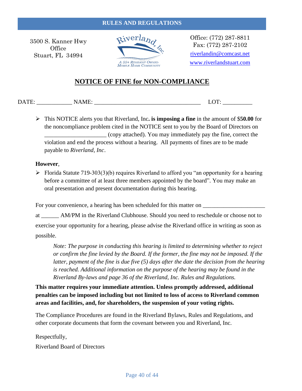#### **RULES AND REGULATIONS**

3500 S. Kanner Hwy **Office** Stuart, FL 34994



Office: (772) 287-8811 Fax: (772) 287-2102 [riverlandin@comcast.net](mailto:riverlandin@comcast.net) [www.riverlandstuart.com](http://www.riverlandstuart.com/)

#### **NOTICE OF FINE for NON-COMPLIANCE**

DATE: NAME: NAME: LOT:

➢ This NOTICE alerts you that Riverland, Inc**. is imposing a fine** in the amount of \$**50.00** for the noncompliance problem cited in the NOTICE sent to you by the Board of Directors on \_\_\_\_\_\_\_\_\_\_\_\_\_\_\_\_\_\_\_\_\_ (copy attached). You may immediately pay the fine, correct the violation and end the process without a hearing. All payments of fines are to be made payable to *Riverland, Inc*.

#### **However**,

 $\triangleright$  Florida Statute 719-303(3)(b) requires Riverland to afford you "an opportunity for a hearing before a committee of at least three members appointed by the board". You may make an oral presentation and present documentation during this hearing.

For your convenience, a hearing has been scheduled for this matter on \_\_\_\_\_\_\_\_\_\_\_\_\_\_\_\_\_\_\_\_\_

at \_\_\_\_\_\_ AM/PM in the Riverland Clubhouse. Should you need to reschedule or choose not to exercise your opportunity for a hearing, please advise the Riverland office in writing as soon as possible.

*Note: The purpose in conducting this hearing is limited to determining whether to reject or confirm the fine levied by the Board. If the former, the fine may not be imposed. If the latter, payment of the fine is due five (5) days after the date the decision from the hearing is reached. Additional information on the purpose of the hearing may be found in the Riverland By-laws and page 36 of the Riverland, Inc. Rules and Regulations.*

**This matter requires your immediate attention. Unless promptly addressed, additional penalties can be imposed including but not limited to loss of access to Riverland common areas and facilities, and, for shareholders, the suspension of your voting rights.**

The Compliance Procedures are found in the Riverland Bylaws, Rules and Regulations, and other corporate documents that form the covenant between you and Riverland, Inc.

Respectfully, Riverland Board of Directors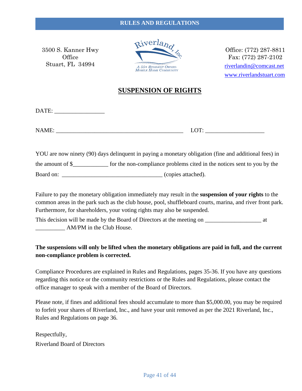3500 S. Kanner Hwy **Office** Stuart, FL 34994



Office: (772) 287-8811 Fax: (772) 287-2102 [riverlandin@comcast.net](mailto:riverlandin@comcast.net) [www.riverlandstuart.com](http://www.riverlandstuart.com/)

#### **SUSPENSION OF RIGHTS**

DATE: \_\_\_\_\_\_\_\_\_\_\_\_\_\_\_\_\_

NAME:  $LOT:$ 

YOU are now ninety (90) days delinquent in paying a monetary obligation (fine and additional fees) in the amount of \$\_\_\_\_\_\_\_\_\_\_\_\_ for the non-compliance problems cited in the notices sent to you by the Board on: \_\_\_\_\_\_\_\_\_\_\_\_\_\_\_\_\_\_\_\_\_\_\_\_\_\_\_\_\_\_\_\_\_\_ (copies attached).

Failure to pay the monetary obligation immediately may result in the **suspension of your rights** to the common areas in the park such as the club house, pool, shuffleboard courts, marina, and river front park. Furthermore, for shareholders, your voting rights may also be suspended.

This decision will be made by the Board of Directors at the meeting on \_\_\_\_\_\_\_\_\_\_\_\_\_\_\_\_\_\_\_\_\_\_\_\_\_\_ at AM/PM in the Club House.

#### **The suspensions will only be lifted when the monetary obligations are paid in full, and the current non-compliance problem is corrected.**

Compliance Procedures are explained in Rules and Regulations, pages 35-36. If you have any questions regarding this notice or the community restrictions or the Rules and Regulations, please contact the office manager to speak with a member of the Board of Directors.

Please note, if fines and additional fees should accumulate to more than \$5,000.00, you may be required to forfeit your shares of Riverland, Inc., and have your unit removed as per the 2021 Riverland, Inc., Rules and Regulations on page 36.

Respectfully, Riverland Board of Directors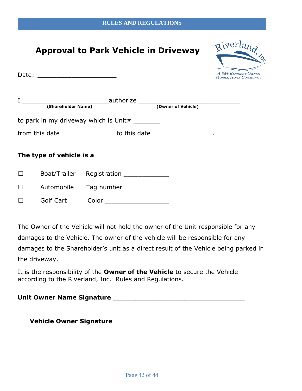# **Approval to Park Vehicle in Driveway**

Date:  $\Box$ 

| Riverland                                     |
|-----------------------------------------------|
|                                               |
| A 55+ RESIDENT OWNED<br>Мови к Номк Соммимиту |

| (Shareholder Name)       |                                                                      | authorize _______________________<br>(Owner of Vehicle) |
|--------------------------|----------------------------------------------------------------------|---------------------------------------------------------|
|                          |                                                                      |                                                         |
|                          | to park in my driveway which is Unit# ________                       |                                                         |
|                          | from this date ___________________ to this date ___________________. |                                                         |
|                          |                                                                      |                                                         |
| The type of vehicle is a |                                                                      |                                                         |
|                          |                                                                      |                                                         |
| Boat/Trailer             | Registration _______________                                         |                                                         |
| Automobile               | Tag number                                                           |                                                         |

☐ Golf Cart Color \_\_\_\_\_\_\_\_\_\_\_\_\_\_\_\_\_

The Owner of the Vehicle will not hold the owner of the Unit responsible for any damages to the Vehicle. The owner of the vehicle will be responsible for any damages to the Shareholder's unit as a direct result of the Vehicle being parked in the driveway.

It is the responsibility of the **Owner of the Vehicle** to secure the Vehicle according to the Riverland, Inc. Rules and Regulations.

**Unit Owner Name Signature** \_\_\_\_\_\_\_\_\_\_\_\_\_\_\_\_\_\_\_\_\_\_\_\_\_\_\_\_\_\_\_\_\_\_\_

**Vehicle Owner Signature** \_\_\_\_\_\_\_\_\_\_\_\_\_\_\_\_\_\_\_\_\_\_\_\_\_\_\_\_\_\_\_\_\_\_\_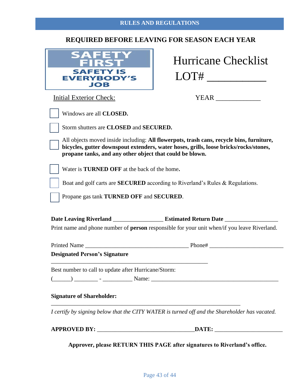#### **REQUIRED BEFORE LEAVING FOR SEASON EACH YEAR**

| <b>SAFETY IS</b><br><b>EVERYBODY'S</b><br><b>JOB</b> |
|------------------------------------------------------|

|      | <b>Hurricane Checklist</b> |
|------|----------------------------|
| LOT# |                            |

Initial Exterior Check: YEAR

Storm shutters are **CLOSED** and **SECURED.**

All objects moved inside including: **All flowerpots, trash cans, recycle bins, furniture, bicycles, gutter downspout extenders, water hoses, grills, loose bricks/rocks/stones, propane tanks, and any other object that could be blown.**

Water is **TURNED OFF** at the back of the home**.**

Boat and golf carts are **SECURED** according to Riverland's Rules & Regulations.

Propane gas tank **TURNED OFF** and **SECURED**.

**Date Leaving Riverland** \_\_\_\_\_\_\_\_\_\_\_\_\_\_\_\_\_ **Estimated Return Date** \_\_\_\_\_\_\_\_\_\_\_\_\_\_\_\_\_\_ Print name and phone number of **person** responsible for your unit when/if you leave Riverland.

| <b>Printed Name</b> | $P$ <sub>hone#</sub> |  |
|---------------------|----------------------|--|
|                     |                      |  |

#### **Designated Person's Signature**

Best number to call to update after Hurricane/Storm:

\_\_\_\_\_\_\_\_\_\_\_\_\_\_\_\_\_\_\_\_\_\_\_\_\_\_\_\_\_\_\_\_\_\_\_\_\_\_\_\_\_\_\_\_\_\_\_\_\_\_\_\_\_

(\_\_\_\_\_\_) \_\_\_\_\_\_\_\_ - \_\_\_\_\_\_\_\_\_\_ Name: \_\_\_\_\_\_\_\_\_\_\_\_\_\_\_\_\_\_\_\_\_\_\_\_\_\_\_\_\_\_\_\_\_\_\_\_\_\_\_\_\_\_\_

#### **Signature of Shareholder:**

*I certify by signing below that the CITY WATER is turned off and the Shareholder has vacated.* 

\_\_\_\_\_\_\_\_\_\_\_\_\_\_\_\_\_\_\_\_\_\_\_\_\_\_\_\_\_\_\_\_\_\_\_\_\_\_\_\_\_\_\_\_\_\_\_\_\_\_\_\_\_\_\_\_\_\_\_\_\_\_\_\_

**APPROVED BY:** \_\_\_\_\_\_\_\_\_\_\_\_\_\_\_\_\_\_\_\_\_\_\_\_\_\_\_\_\_\_\_\_\_**DATE:** \_\_\_\_\_\_\_\_\_\_\_\_\_\_\_\_\_\_\_\_\_\_\_

**Approver, please RETURN THIS PAGE after signatures to Riverland's office.**